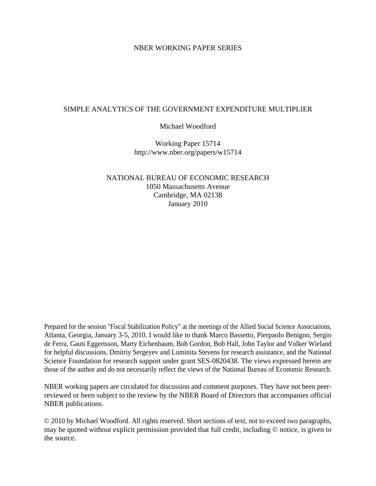#### NBER WORKING PAPER SERIES

#### SIMPLE ANALYTICS OF THE GOVERNMENT EXPENDITURE MULTIPLIER

#### Michael Woodford

Working Paper 15714 http://www.nber.org/papers/w15714

### NATIONAL BUREAU OF ECONOMIC RESEARCH 1050 Massachusetts Avenue Cambridge, MA 02138 January 2010

Prepared for the session "Fiscal Stabilization Policy" at the meetings of the Allied Social Science Associations, Atlanta, Georgia, January 3-5, 2010. I would like to thank Marco Bassetto, Pierpaolo Benigno, Sergio de Ferra, Gauti Eggertsson, Marty Eichenbaum, Bob Gordon, Bob Hall, John Taylor and Volker Wieland for helpful discussions, Dmitriy Sergeyev and Luminita Stevens for research assistance, and the National Science Foundation for research support under grant SES-0820438. The views expressed herein are those of the author and do not necessarily reflect the views of the National Bureau of Economic Research.

NBER working papers are circulated for discussion and comment purposes. They have not been peerreviewed or been subject to the review by the NBER Board of Directors that accompanies official NBER publications.

© 2010 by Michael Woodford. All rights reserved. Short sections of text, not to exceed two paragraphs, may be quoted without explicit permission provided that full credit, including © notice, is given to the source.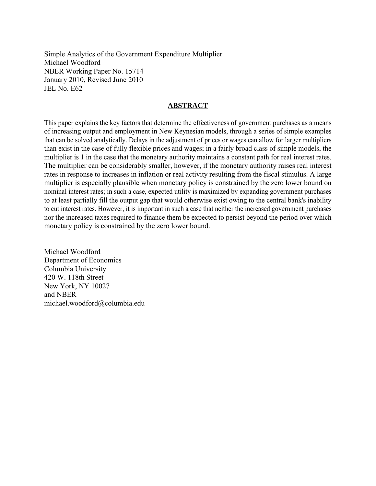Simple Analytics of the Government Expenditure Multiplier Michael Woodford NBER Working Paper No. 15714 January 2010, Revised June 2010 JEL No. E62

#### **ABSTRACT**

This paper explains the key factors that determine the effectiveness of government purchases as a means of increasing output and employment in New Keynesian models, through a series of simple examples that can be solved analytically. Delays in the adjustment of prices or wages can allow for larger multipliers than exist in the case of fully flexible prices and wages; in a fairly broad class of simple models, the multiplier is 1 in the case that the monetary authority maintains a constant path for real interest rates. The multiplier can be considerably smaller, however, if the monetary authority raises real interest rates in response to increases in inflation or real activity resulting from the fiscal stimulus. A large multiplier is especially plausible when monetary policy is constrained by the zero lower bound on nominal interest rates; in such a case, expected utility is maximized by expanding government purchases to at least partially fill the output gap that would otherwise exist owing to the central bank's inability to cut interest rates. However, it is important in such a case that neither the increased government purchases nor the increased taxes required to finance them be expected to persist beyond the period over which monetary policy is constrained by the zero lower bound.

Michael Woodford Department of Economics Columbia University 420 W. 118th Street New York, NY 10027 and NBER michael.woodford@columbia.edu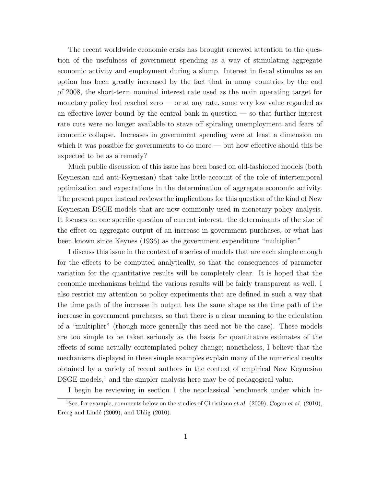The recent worldwide economic crisis has brought renewed attention to the question of the usefulness of government spending as a way of stimulating aggregate economic activity and employment during a slump. Interest in fiscal stimulus as an option has been greatly increased by the fact that in many countries by the end of 2008, the short-term nominal interest rate used as the main operating target for monetary policy had reached zero — or at any rate, some very low value regarded as an effective lower bound by the central bank in question — so that further interest rate cuts were no longer available to stave off spiraling unemployment and fears of economic collapse. Increases in government spending were at least a dimension on which it was possible for governments to do more — but how effective should this be expected to be as a remedy?

Much public discussion of this issue has been based on old-fashioned models (both Keynesian and anti-Keynesian) that take little account of the role of intertemporal optimization and expectations in the determination of aggregate economic activity. The present paper instead reviews the implications for this question of the kind of New Keynesian DSGE models that are now commonly used in monetary policy analysis. It focuses on one specific question of current interest: the determinants of the size of the effect on aggregate output of an increase in government purchases, or what has been known since Keynes (1936) as the government expenditure "multiplier."

I discuss this issue in the context of a series of models that are each simple enough for the effects to be computed analytically, so that the consequences of parameter variation for the quantitative results will be completely clear. It is hoped that the economic mechanisms behind the various results will be fairly transparent as well. I also restrict my attention to policy experiments that are defined in such a way that the time path of the increase in output has the same shape as the time path of the increase in government purchases, so that there is a clear meaning to the calculation of a "multiplier" (though more generally this need not be the case). These models are too simple to be taken seriously as the basis for quantitative estimates of the effects of some actually contemplated policy change; nonetheless, I believe that the mechanisms displayed in these simple examples explain many of the numerical results obtained by a variety of recent authors in the context of empirical New Keynesian  $DSGE$  models,<sup>1</sup> and the simpler analysis here may be of pedagogical value.

I begin be reviewing in section 1 the neoclassical benchmark under which in-

<sup>&</sup>lt;sup>1</sup>See, for example, comments below on the studies of Christiano et al. (2009), Cogan et al. (2010), Erceg and Lindé  $(2009)$ , and Uhlig  $(2010)$ .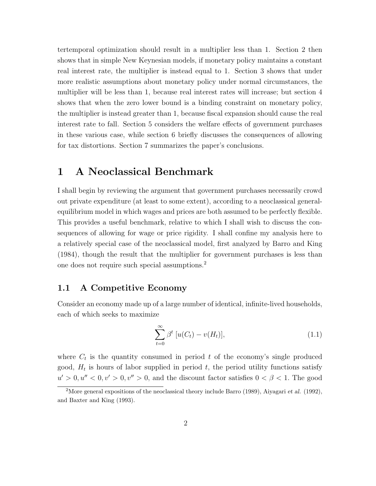tertemporal optimization should result in a multiplier less than 1. Section 2 then shows that in simple New Keynesian models, if monetary policy maintains a constant real interest rate, the multiplier is instead equal to 1. Section 3 shows that under more realistic assumptions about monetary policy under normal circumstances, the multiplier will be less than 1, because real interest rates will increase; but section 4 shows that when the zero lower bound is a binding constraint on monetary policy, the multiplier is instead greater than 1, because fiscal expansion should cause the real interest rate to fall. Section 5 considers the welfare effects of government purchases in these various case, while section 6 briefly discusses the consequences of allowing for tax distortions. Section 7 summarizes the paper's conclusions.

## 1 A Neoclassical Benchmark

I shall begin by reviewing the argument that government purchases necessarily crowd out private expenditure (at least to some extent), according to a neoclassical generalequilibrium model in which wages and prices are both assumed to be perfectly flexible. This provides a useful benchmark, relative to which I shall wish to discuss the consequences of allowing for wage or price rigidity. I shall confine my analysis here to a relatively special case of the neoclassical model, first analyzed by Barro and King (1984), though the result that the multiplier for government purchases is less than one does not require such special assumptions.<sup>2</sup>

## 1.1 A Competitive Economy

Consider an economy made up of a large number of identical, infinite-lived households, each of which seeks to maximize

$$
\sum_{t=0}^{\infty} \beta^t \left[ u(C_t) - v(H_t) \right],\tag{1.1}
$$

where  $C_t$  is the quantity consumed in period t of the economy's single produced good,  $H_t$  is hours of labor supplied in period t, the period utility functions satisfy  $u' > 0, u'' < 0, v' > 0, v'' > 0$ , and the discount factor satisfies  $0 < \beta < 1$ . The good

<sup>&</sup>lt;sup>2</sup>More general expositions of the neoclassical theory include Barro (1989), Aiyagari et al. (1992), and Baxter and King (1993).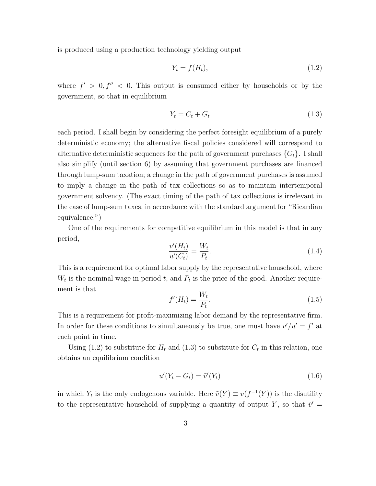is produced using a production technology yielding output

$$
Y_t = f(H_t),\tag{1.2}
$$

where  $f' > 0, f'' < 0$ . This output is consumed either by households or by the government, so that in equilibrium

$$
Y_t = C_t + G_t \tag{1.3}
$$

each period. I shall begin by considering the perfect foresight equilibrium of a purely deterministic economy; the alternative fiscal policies considered will correspond to alternative deterministic sequences for the path of government purchases  ${G_t}$ . I shall also simplify (until section 6) by assuming that government purchases are financed through lump-sum taxation; a change in the path of government purchases is assumed to imply a change in the path of tax collections so as to maintain intertemporal government solvency. (The exact timing of the path of tax collections is irrelevant in the case of lump-sum taxes, in accordance with the standard argument for "Ricardian equivalence.")

One of the requirements for competitive equilibrium in this model is that in any period,

$$
\frac{v'(H_t)}{u'(C_t)} = \frac{W_t}{P_t}.\tag{1.4}
$$

This is a requirement for optimal labor supply by the representative household, where  $W_t$  is the nominal wage in period t, and  $P_t$  is the price of the good. Another requirement is that

$$
f'(H_t) = \frac{W_t}{P_t}.\tag{1.5}
$$

This is a requirement for profit-maximizing labor demand by the representative firm. In order for these conditions to simultaneously be true, one must have  $v'/u' = f'$  at each point in time.

Using (1.2) to substitute for  $H_t$  and (1.3) to substitute for  $C_t$  in this relation, one obtains an equilibrium condition

$$
u'(Y_t - G_t) = \tilde{v}'(Y_t)
$$
\n
$$
(1.6)
$$

in which  $Y_t$  is the only endogenous variable. Here  $\tilde{v}(Y) \equiv v(f^{-1}(Y))$  is the disutility to the representative household of supplying a quantity of output Y, so that  $\tilde{v}' =$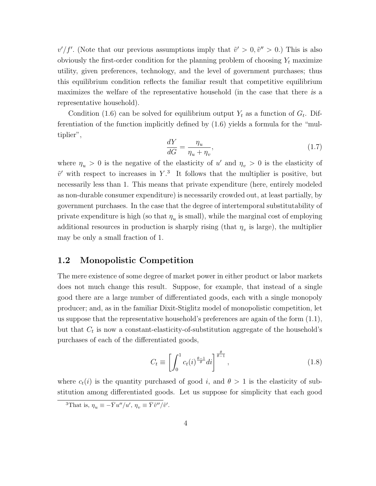$v'/f'$ . (Note that our previous assumptions imply that  $\tilde{v}' > 0, \tilde{v}'' > 0$ .) This is also obviously the first-order condition for the planning problem of choosing  $Y_t$  maximize utility, given preferences, technology, and the level of government purchases; thus this equilibrium condition reflects the familiar result that competitive equilibrium maximizes the welfare of the representative household (in the case that there is a representative household).

Condition (1.6) can be solved for equilibrium output  $Y_t$  as a function of  $G_t$ . Differentiation of the function implicitly defined by (1.6) yields a formula for the "multiplier",

$$
\frac{dY}{dG} = \frac{\eta_u}{\eta_u + \eta_v},\tag{1.7}
$$

where  $\eta_u > 0$  is the negative of the elasticity of u' and  $\eta_v > 0$  is the elasticity of  $\tilde{v}'$  with respect to increases in  $Y$ .<sup>3</sup> It follows that the multiplier is positive, but necessarily less than 1. This means that private expenditure (here, entirely modeled as non-durable consumer expenditure) is necessarily crowded out, at least partially, by government purchases. In the case that the degree of intertemporal substitutability of private expenditure is high (so that  $\eta_u$  is small), while the marginal cost of employing additional resources in production is sharply rising (that  $\eta_v$  is large), the multiplier may be only a small fraction of 1.

#### 1.2 Monopolistic Competition

The mere existence of some degree of market power in either product or labor markets does not much change this result. Suppose, for example, that instead of a single good there are a large number of differentiated goods, each with a single monopoly producer; and, as in the familiar Dixit-Stiglitz model of monopolistic competition, let us suppose that the representative household's preferences are again of the form (1.1), but that  $C_t$  is now a constant-elasticity-of-substitution aggregate of the household's purchases of each of the differentiated goods,

$$
C_t \equiv \left[ \int_0^1 c_t(i)^{\frac{\theta - 1}{\theta}} di \right]^{\frac{\theta}{\theta - 1}}, \qquad (1.8)
$$

where  $c_t(i)$  is the quantity purchased of good i, and  $\theta > 1$  is the elasticity of substitution among differentiated goods. Let us suppose for simplicity that each good

<sup>&</sup>lt;sup>3</sup>That is,  $\eta_u \equiv -\bar{Y}u''/u', \eta_v \equiv \bar{Y}\tilde{v}''/\tilde{v}'.$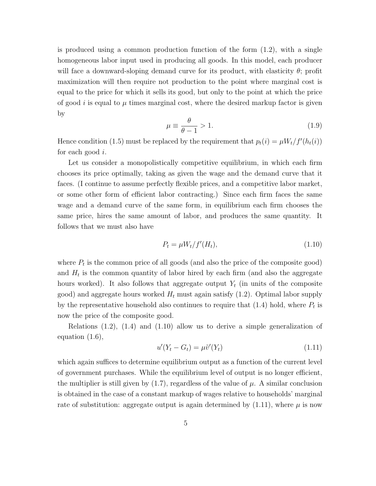is produced using a common production function of the form (1.2), with a single homogeneous labor input used in producing all goods. In this model, each producer will face a downward-sloping demand curve for its product, with elasticity  $\theta$ ; profit maximization will then require not production to the point where marginal cost is equal to the price for which it sells its good, but only to the point at which the price of good i is equal to  $\mu$  times marginal cost, where the desired markup factor is given by

$$
\mu \equiv \frac{\theta}{\theta - 1} > 1. \tag{1.9}
$$

Hence condition (1.5) must be replaced by the requirement that  $p_t(i) = \mu W_t/f'(h_t(i))$ for each good  $i$ .

Let us consider a monopolistically competitive equilibrium, in which each firm chooses its price optimally, taking as given the wage and the demand curve that it faces. (I continue to assume perfectly flexible prices, and a competitive labor market, or some other form of efficient labor contracting.) Since each firm faces the same wage and a demand curve of the same form, in equilibrium each firm chooses the same price, hires the same amount of labor, and produces the same quantity. It follows that we must also have

$$
P_t = \mu W_t / f'(H_t),\tag{1.10}
$$

where  $P_t$  is the common price of all goods (and also the price of the composite good) and  $H_t$  is the common quantity of labor hired by each firm (and also the aggregate hours worked). It also follows that aggregate output  $Y_t$  (in units of the composite good) and aggregate hours worked  $H_t$  must again satisfy (1.2). Optimal labor supply by the representative household also continues to require that  $(1.4)$  hold, where  $P_t$  is now the price of the composite good.

Relations (1.2), (1.4) and (1.10) allow us to derive a simple generalization of equation (1.6),

$$
u'(Y_t - G_t) = \mu \tilde{v}'(Y_t)
$$
\n
$$
(1.11)
$$

which again suffices to determine equilibrium output as a function of the current level of government purchases. While the equilibrium level of output is no longer efficient, the multiplier is still given by  $(1.7)$ , regardless of the value of  $\mu$ . A similar conclusion is obtained in the case of a constant markup of wages relative to households' marginal rate of substitution: aggregate output is again determined by  $(1.11)$ , where  $\mu$  is now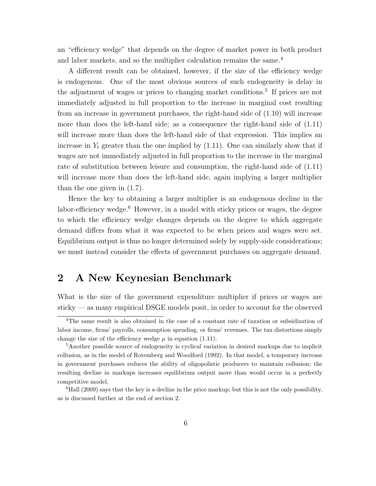an "efficiency wedge" that depends on the degree of market power in both product and labor markets, and so the multiplier calculation remains the same.<sup>4</sup>

A different result can be obtained, however, if the size of the efficiency wedge is endogenous. One of the most obvious sources of such endogeneity is delay in the adjustment of wages or prices to changing market conditions.<sup>5</sup> If prices are not immediately adjusted in full proportion to the increase in marginal cost resulting from an increase in government purchases, the right-hand side of (1.10) will increase more than does the left-hand side; as a consequence the right-hand side of (1.11) will increase more than does the left-hand side of that expression. This implies an increase in  $Y_t$  greater than the one implied by (1.11). One can similarly show that if wages are not immediately adjusted in full proportion to the increase in the marginal rate of substitution between leisure and consumption, the right-hand side of (1.11) will increase more than does the left-hand side, again implying a larger multiplier than the one given in (1.7).

Hence the key to obtaining a larger multiplier is an endogenous decline in the labor-efficiency wedge. $6$  However, in a model with sticky prices or wages, the degree to which the efficiency wedge changes depends on the degree to which aggregate demand differs from what it was expected to be when prices and wages were set. Equilibrium output is thus no longer determined solely by supply-side considerations; we must instead consider the effects of government purchases on aggregate demand.

# 2 A New Keynesian Benchmark

What is the size of the government expenditure multiplier if prices or wages are sticky — as many empirical DSGE models posit, in order to account for the observed

<sup>&</sup>lt;sup>4</sup>The same result is also obtained in the case of a constant rate of taxation or subsidization of labor income, firms' payrolls, consumption spending, or firms' revenues. The tax distortions simply change the size of the efficiency wedge  $\mu$  in equation (1.11).

<sup>&</sup>lt;sup>5</sup>Another possible source of endogeneity is cyclical variation in desired markups due to implicit collusion, as in the model of Rotemberg and Woodford (1992). In that model, a temporary increase in government purchases reduces the ability of oligopolistic producers to maintain collusion; the resulting decline in markups increases equilibrium output more than would occur in a perfectly competitive model.

 $6$ Hall (2009) says that the key is a decline in the price markup; but this is not the only possibility, as is discussed further at the end of section 2.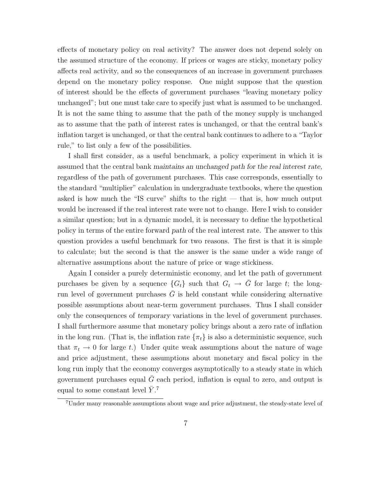effects of monetary policy on real activity? The answer does not depend solely on the assumed structure of the economy. If prices or wages are sticky, monetary policy affects real activity, and so the consequences of an increase in government purchases depend on the monetary policy response. One might suppose that the question of interest should be the effects of government purchases "leaving monetary policy unchanged"; but one must take care to specify just what is assumed to be unchanged. It is not the same thing to assume that the path of the money supply is unchanged as to assume that the path of interest rates is unchanged, or that the central bank's inflation target is unchanged, or that the central bank continues to adhere to a "Taylor rule," to list only a few of the possibilities.

I shall first consider, as a useful benchmark, a policy experiment in which it is assumed that the central bank maintains an unchanged path for the real interest rate, regardless of the path of government purchases. This case corresponds, essentially to the standard "multiplier" calculation in undergraduate textbooks, where the question asked is how much the "IS curve" shifts to the right  $-$  that is, how much output would be increased if the real interest rate were not to change. Here I wish to consider a similar question; but in a dynamic model, it is necessary to define the hypothetical policy in terms of the entire forward path of the real interest rate. The answer to this question provides a useful benchmark for two reasons. The first is that it is simple to calculate; but the second is that the answer is the same under a wide range of alternative assumptions about the nature of price or wage stickiness.

Again I consider a purely deterministic economy, and let the path of government purchases be given by a sequence  ${G_t}$  such that  $G_t \to \overline{G}$  for large t; the longrun level of government purchases  $G$  is held constant while considering alternative possible assumptions about near-term government purchases. Thus I shall consider only the consequences of temporary variations in the level of government purchases. I shall furthermore assume that monetary policy brings about a zero rate of inflation in the long run. (That is, the inflation rate  $\{\pi_t\}$  is also a deterministic sequence, such that  $\pi_t \to 0$  for large t.) Under quite weak assumptions about the nature of wage and price adjustment, these assumptions about monetary and fiscal policy in the long run imply that the economy converges asymptotically to a steady state in which government purchases equal  $\bar{G}$  each period, inflation is equal to zero, and output is equal to some constant level  $\bar{Y}$ .<sup>7</sup>

<sup>&</sup>lt;sup>7</sup>Under many reasonable assumptions about wage and price adjustment, the steady-state level of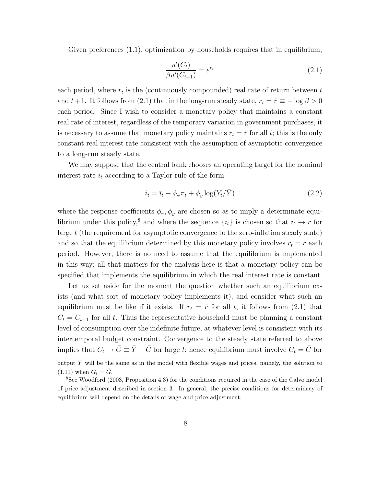Given preferences  $(1.1)$ , optimization by households requires that in equilibrium,

$$
\frac{u'(C_t)}{\beta u'(C_{t+1})} = e^{r_t} \tag{2.1}
$$

each period, where  $r_t$  is the (continuously compounded) real rate of return between  $t$ and t+1. It follows from (2.1) that in the long-run steady state,  $r_t = \bar{r} \equiv -\log \beta > 0$ each period. Since I wish to consider a monetary policy that maintains a constant real rate of interest, regardless of the temporary variation in government purchases, it is necessary to assume that monetary policy maintains  $r_t = \bar{r}$  for all t; this is the only constant real interest rate consistent with the assumption of asymptotic convergence to a long-run steady state.

We may suppose that the central bank chooses an operating target for the nominal interest rate  $i_t$  according to a Taylor rule of the form

$$
i_t = \bar{i}_t + \phi_\pi \pi_t + \phi_y \log(Y_t/\bar{Y})
$$
\n(2.2)

where the response coefficients  $\phi_{\pi}, \phi_{y}$  are chosen so as to imply a determinate equilibrium under this policy,<sup>8</sup> and where the sequence  $\{\bar{\imath}_t\}$  is chosen so that  $\bar{\imath}_t \to \bar{r}$  for large  $t$  (the requirement for asymptotic convergence to the zero-inflation steady state) and so that the equilibrium determined by this monetary policy involves  $r_t = \bar{r}$  each period. However, there is no need to assume that the equilibrium is implemented in this way; all that matters for the analysis here is that a monetary policy can be specified that implements the equilibrium in which the real interest rate is constant.

Let us set aside for the moment the question whether such an equilibrium exists (and what sort of monetary policy implements it), and consider what such an equilibrium must be like if it exists. If  $r_t = \bar{r}$  for all t, it follows from (2.1) that  $C_t = C_{t+1}$  for all t. Thus the representative household must be planning a constant level of consumption over the indefinite future, at whatever level is consistent with its intertemporal budget constraint. Convergence to the steady state referred to above implies that  $C_t \to \overline{C} \equiv \overline{Y} - \overline{G}$  for large t; hence equilibrium must involve  $C_t = \overline{C}$  for

output  $\overline{Y}$  will be the same as in the model with flexible wages and prices, namely, the solution to  $(1.11)$  when  $G_t = \overline{G}$ .

<sup>8</sup>See Woodford (2003, Proposition 4.3) for the conditions required in the case of the Calvo model of price adjustment described in section 3. In general, the precise conditions for determinacy of equilibrium will depend on the details of wage and price adjustment.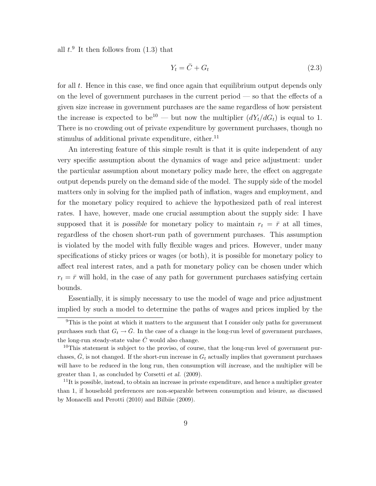all  $t$ <sup>9</sup>. It then follows from  $(1.3)$  that

$$
Y_t = \bar{C} + G_t \tag{2.3}
$$

for all  $t$ . Hence in this case, we find once again that equilibrium output depends only on the level of government purchases in the current period — so that the effects of a given size increase in government purchases are the same regardless of how persistent the increase is expected to be<sup>10</sup> — but now the multiplier  $(dY_t/dG_t)$  is equal to 1. There is no crowding out of private expenditure by government purchases, though no stimulus of additional private expenditure, either.<sup>11</sup>

An interesting feature of this simple result is that it is quite independent of any very specific assumption about the dynamics of wage and price adjustment: under the particular assumption about monetary policy made here, the effect on aggregate output depends purely on the demand side of the model. The supply side of the model matters only in solving for the implied path of inflation, wages and employment, and for the monetary policy required to achieve the hypothesized path of real interest rates. I have, however, made one crucial assumption about the supply side: I have supposed that it is possible for monetary policy to maintain  $r_t = \bar{r}$  at all times, regardless of the chosen short-run path of government purchases. This assumption is violated by the model with fully flexible wages and prices. However, under many specifications of sticky prices or wages (or both), it is possible for monetary policy to affect real interest rates, and a path for monetary policy can be chosen under which  $r_t = \bar{r}$  will hold, in the case of any path for government purchases satisfying certain bounds.

Essentially, it is simply necessary to use the model of wage and price adjustment implied by such a model to determine the paths of wages and prices implied by the

 $9$ This is the point at which it matters to the argument that I consider only paths for government purchases such that  $G_t \to \overline{G}$ . In the case of a change in the long-run level of government purchases, the long-run steady-state value  $\bar{C}$  would also change.

 $10$ This statement is subject to the proviso, of course, that the long-run level of government purchases,  $\bar{G}$ , is not changed. If the short-run increase in  $G_t$  actually implies that government purchases will have to be *reduced* in the long run, then consumption will *increase*, and the multiplier will be greater than 1, as concluded by Corsetti et al. (2009).

<sup>&</sup>lt;sup>11</sup>It is possible, instead, to obtain an increase in private expenditure, and hence a multiplier greater than 1, if household preferences are non-separable between consumption and leisure, as discussed by Monacelli and Perotti (2010) and Bilbiie (2009).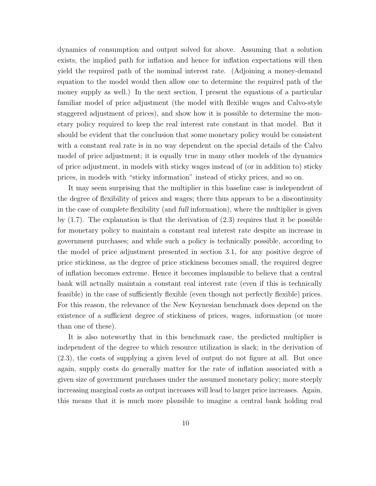dynamics of consumption and output solved for above. Assuming that a solution exists, the implied path for inflation and hence for inflation expectations will then yield the required path of the nominal interest rate. (Adjoining a money-demand equation to the model would then allow one to determine the required path of the money supply as well.) In the next section, I present the equations of a particular familiar model of price adjustment (the model with flexible wages and Calvo-style staggered adjustment of prices), and show how it is possible to determine the monetary policy required to keep the real interest rate constant in that model. But it should be evident that the conclusion that some monetary policy would be consistent with a constant real rate is in no way dependent on the special details of the Calvo model of price adjustment; it is equally true in many other models of the dynamics of price adjustment, in models with sticky wages instead of (or in addition to) sticky prices, in models with "sticky information" instead of sticky prices, and so on.

It may seem surprising that the multiplier in this baseline case is independent of the degree of flexibility of prices and wages; there thus appears to be a discontinuity in the case of complete flexibility (and full information), where the multiplier is given by  $(1.7)$ . The explanation is that the derivation of  $(2.3)$  requires that it be possible for monetary policy to maintain a constant real interest rate despite an increase in government purchases; and while such a policy is technically possible, according to the model of price adjustment presented in section 3.1, for any positive degree of price stickiness, as the degree of price stickiness becomes small, the required degree of inflation becomes extreme. Hence it becomes implausible to believe that a central bank will actually maintain a constant real interest rate (even if this is technically feasible) in the case of sufficiently flexible (even though not perfectly flexible) prices. For this reason, the relevance of the New Keynesian benchmark does depend on the existence of a sufficient degree of stickiness of prices, wages, information (or more than one of these).

It is also noteworthy that in this benchmark case, the predicted multiplier is independent of the degree to which resource utilization is slack; in the derivation of (2.3), the costs of supplying a given level of output do not figure at all. But once again, supply costs do generally matter for the rate of inflation associated with a given size of government purchases under the assumed monetary policy; more steeply increasing marginal costs as output increases will lead to larger price increases. Again, this means that it is much more plausible to imagine a central bank holding real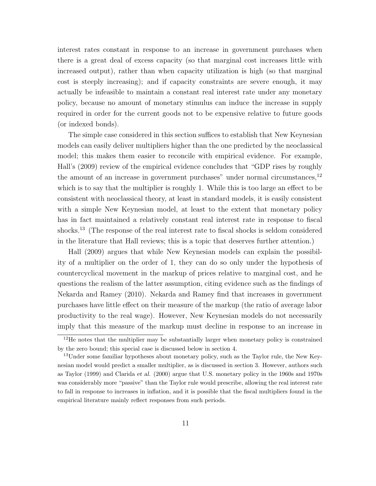interest rates constant in response to an increase in government purchases when there is a great deal of excess capacity (so that marginal cost increases little with increased output), rather than when capacity utilization is high (so that marginal cost is steeply increasing); and if capacity constraints are severe enough, it may actually be infeasible to maintain a constant real interest rate under any monetary policy, because no amount of monetary stimulus can induce the increase in supply required in order for the current goods not to be expensive relative to future goods (or indexed bonds).

The simple case considered in this section suffices to establish that New Keynesian models can easily deliver multipliers higher than the one predicted by the neoclassical model; this makes them easier to reconcile with empirical evidence. For example, Hall's (2009) review of the empirical evidence concludes that "GDP rises by roughly the amount of an increase in government purchases" under normal circumstances,  $^{12}$ which is to say that the multiplier is roughly 1. While this is too large an effect to be consistent with neoclassical theory, at least in standard models, it is easily consistent with a simple New Keynesian model, at least to the extent that monetary policy has in fact maintained a relatively constant real interest rate in response to fiscal shocks.<sup>13</sup> (The response of the real interest rate to fiscal shocks is seldom considered in the literature that Hall reviews; this is a topic that deserves further attention.)

Hall (2009) argues that while New Keynesian models can explain the possibility of a multiplier on the order of 1, they can do so only under the hypothesis of countercyclical movement in the markup of prices relative to marginal cost, and he questions the realism of the latter assumption, citing evidence such as the findings of Nekarda and Ramey (2010). Nekarda and Ramey find that increases in government purchases have little effect on their measure of the markup (the ratio of average labor productivity to the real wage). However, New Keynesian models do not necessarily imply that this measure of the markup must decline in response to an increase in

 $12$ He notes that the multiplier may be substantially larger when monetary policy is constrained by the zero bound; this special case is discussed below in section 4.

<sup>&</sup>lt;sup>13</sup>Under some familiar hypotheses about monetary policy, such as the Taylor rule, the New Keynesian model would predict a smaller multiplier, as is discussed in section 3. However, authors such as Taylor (1999) and Clarida et al. (2000) argue that U.S. monetary policy in the 1960s and 1970s was considerably more "passive" than the Taylor rule would prescribe, allowing the real interest rate to fall in response to increases in inflation, and it is possible that the fiscal multipliers found in the empirical literature mainly reflect responses from such periods.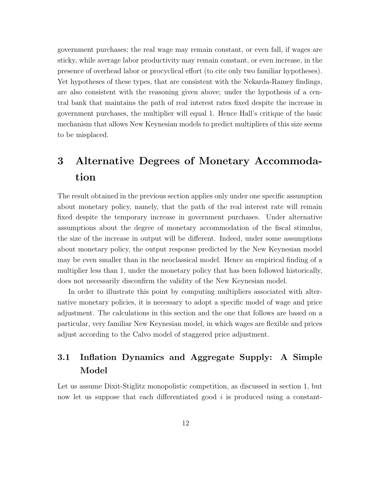government purchases; the real wage may remain constant, or even fall, if wages are sticky, while average labor productivity may remain constant, or even increase, in the presence of overhead labor or procyclical effort (to cite only two familiar hypotheses). Yet hypotheses of these types, that are consistent with the Nekarda-Ramey findings, are also consistent with the reasoning given above; under the hypothesis of a central bank that maintains the path of real interest rates fixed despite the increase in government purchases, the multiplier will equal 1. Hence Hall's critique of the basic mechanism that allows New Keynesian models to predict multipliers of this size seems to be misplaced.

# 3 Alternative Degrees of Monetary Accommodation

The result obtained in the previous section applies only under one specific assumption about monetary policy, namely, that the path of the real interest rate will remain fixed despite the temporary increase in government purchases. Under alternative assumptions about the degree of monetary accommodation of the fiscal stimulus, the size of the increase in output will be different. Indeed, under some assumptions about monetary policy, the output response predicted by the New Keynesian model may be even smaller than in the neoclassical model. Hence an empirical finding of a multiplier less than 1, under the monetary policy that has been followed historically, does not necessarily disconfirm the validity of the New Keynesian model.

In order to illustrate this point by computing multipliers associated with alternative monetary policies, it is necessary to adopt a specific model of wage and price adjustment. The calculations in this section and the one that follows are based on a particular, very familiar New Keynesian model, in which wages are flexible and prices adjust according to the Calvo model of staggered price adjustment.

# 3.1 Inflation Dynamics and Aggregate Supply: A Simple Model

Let us assume Dixit-Stiglitz monopolistic competition, as discussed in section 1, but now let us suppose that each differentiated good  $i$  is produced using a constant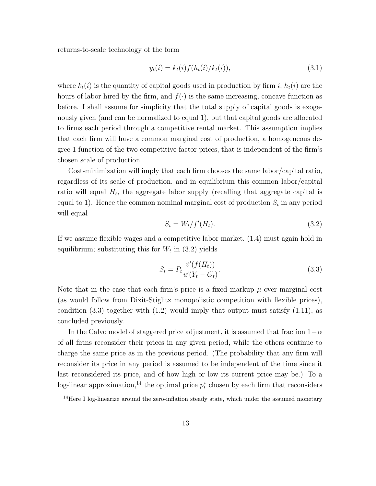returns-to-scale technology of the form

$$
y_t(i) = k_t(i) f(h_t(i)/k_t(i)),
$$
\n(3.1)

where  $k_t(i)$  is the quantity of capital goods used in production by firm i,  $h_t(i)$  are the hours of labor hired by the firm, and  $f(\cdot)$  is the same increasing, concave function as before. I shall assume for simplicity that the total supply of capital goods is exogenously given (and can be normalized to equal 1), but that capital goods are allocated to firms each period through a competitive rental market. This assumption implies that each firm will have a common marginal cost of production, a homogeneous degree 1 function of the two competitive factor prices, that is independent of the firm's chosen scale of production.

Cost-minimization will imply that each firm chooses the same labor/capital ratio, regardless of its scale of production, and in equilibrium this common labor/capital ratio will equal  $H_t$ , the aggregate labor supply (recalling that aggregate capital is equal to 1). Hence the common nominal marginal cost of production  $S_t$  in any period will equal

$$
S_t = W_t / f'(H_t). \tag{3.2}
$$

If we assume flexible wages and a competitive labor market, (1.4) must again hold in equilibrium; substituting this for  $W_t$  in  $(3.2)$  yields

$$
S_t = P_t \frac{\tilde{v}'(f(H_t))}{u'(Y_t - G_t)}.
$$
\n
$$
(3.3)
$$

Note that in the case that each firm's price is a fixed markup  $\mu$  over marginal cost (as would follow from Dixit-Stiglitz monopolistic competition with flexible prices), condition  $(3.3)$  together with  $(1.2)$  would imply that output must satisfy  $(1.11)$ , as concluded previously.

In the Calvo model of staggered price adjustment, it is assumed that fraction  $1-\alpha$ of all firms reconsider their prices in any given period, while the others continue to charge the same price as in the previous period. (The probability that any firm will reconsider its price in any period is assumed to be independent of the time since it last reconsidered its price, and of how high or low its current price may be.) To a log-linear approximation,<sup>14</sup> the optimal price  $p_t^*$  chosen by each firm that reconsiders

<sup>&</sup>lt;sup>14</sup>Here I log-linearize around the zero-inflation steady state, which under the assumed monetary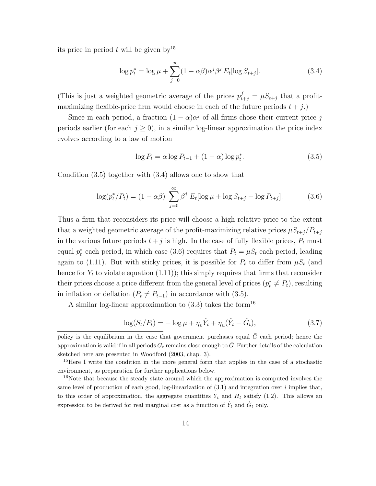its price in period t will be given by  $15$ 

$$
\log p_t^* = \log \mu + \sum_{j=0}^{\infty} (1 - \alpha \beta) \alpha^j \beta^j E_t[\log S_{t+j}]. \tag{3.4}
$$

(This is just a weighted geometric average of the prices  $p_{t+j}^f = \mu S_{t+j}$  that a profitmaximizing flexible-price firm would choose in each of the future periods  $t + j$ .

Since in each period, a fraction  $(1 - \alpha)\alpha^{j}$  of all firms chose their current price j periods earlier (for each  $j \geq 0$ ), in a similar log-linear approximation the price index evolves according to a law of motion

$$
\log P_t = \alpha \log P_{t-1} + (1 - \alpha) \log p_t^*.
$$
\n
$$
(3.5)
$$

Condition (3.5) together with (3.4) allows one to show that

$$
\log(p_t^*/P_t) = (1 - \alpha \beta) \sum_{j=0}^{\infty} \beta^j E_t [\log \mu + \log S_{t+j} - \log P_{t+j}]. \tag{3.6}
$$

Thus a firm that reconsiders its price will choose a high relative price to the extent that a weighted geometric average of the profit-maximizing relative prices  $\mu S_{t+j}/P_{t+j}$ in the various future periods  $t + j$  is high. In the case of fully flexible prices,  $P_t$  must equal  $p_t^*$  each period, in which case (3.6) requires that  $P_t = \mu S_t$  each period, leading again to (1.11). But with sticky prices, it is possible for  $P_t$  to differ from  $\mu S_t$  (and hence for  $Y_t$  to violate equation  $(1.11)$ ; this simply requires that firms that reconsider their prices choose a price different from the general level of prices  $(p_t^* \neq P_t)$ , resulting in inflation or deflation  $(P_t \neq P_{t-1})$  in accordance with (3.5).

A similar log-linear approximation to  $(3.3)$  takes the form<sup>16</sup>

$$
\log(S_t/P_t) = -\log \mu + \eta_v \hat{Y}_t + \eta_u (\hat{Y}_t - \hat{G}_t), \tag{3.7}
$$

policy is the equilibrium in the case that government purchases equal  $\bar{G}$  each period; hence the approximation is valid if in all periods  $G_t$  remains close enough to  $\bar{G}$ . Further details of the calculation sketched here are presented in Woodford (2003, chap. 3).

<sup>&</sup>lt;sup>15</sup>Here I write the condition in the more general form that applies in the case of a stochastic environment, as preparation for further applications below.

<sup>&</sup>lt;sup>16</sup>Note that because the steady state around which the approximation is computed involves the same level of production of each good, log-linearization of  $(3.1)$  and integration over i implies that, to this order of approximation, the aggregate quantities  $Y_t$  and  $H_t$  satisfy (1.2). This allows an expression to be derived for real marginal cost as a function of  $\hat{Y}_t$  and  $\hat{G}_t$  only.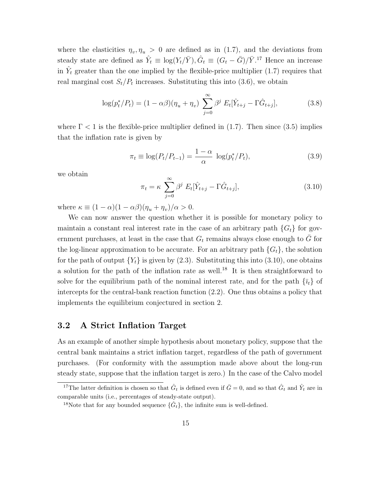where the elasticities  $\eta_v, \eta_u > 0$  are defined as in (1.7), and the deviations from steady state are defined as  $\hat{Y}_t \equiv \log(Y_t/\bar{Y}), \hat{G}_t \equiv (G_t - \bar{G})/\bar{Y}$ .<sup>17</sup> Hence an increase in  $\hat{Y}_t$  greater than the one implied by the flexible-price multiplier (1.7) requires that real marginal cost  $S_t/P_t$  increases. Substituting this into (3.6), we obtain

$$
\log(p_t^*/P_t) = (1 - \alpha \beta)(\eta_u + \eta_v) \sum_{j=0}^{\infty} \beta^j E_t[\hat{Y}_{t+j} - \Gamma \hat{G}_{t+j}], \tag{3.8}
$$

where  $\Gamma$  < 1 is the flexible-price multiplier defined in (1.7). Then since (3.5) implies that the inflation rate is given by

$$
\pi_t \equiv \log(P_t/P_{t-1}) = \frac{1-\alpha}{\alpha} \log(p_t^*/P_t),\tag{3.9}
$$

we obtain

$$
\pi_t = \kappa \sum_{j=0}^{\infty} \beta^j E_t[\hat{Y}_{t+j} - \hat{\Gamma}_{t+j}], \qquad (3.10)
$$

where  $\kappa \equiv (1 - \alpha)(1 - \alpha \beta)(\eta_u + \eta_v)/\alpha > 0$ .

We can now answer the question whether it is possible for monetary policy to maintain a constant real interest rate in the case of an arbitrary path  ${G_t}$  for government purchases, at least in the case that  $G_t$  remains always close enough to G for the log-linear approximation to be accurate. For an arbitrary path  $\{G_t\}$ , the solution for the path of output  ${Y_t}$  is given by (2.3). Substituting this into (3.10), one obtains a solution for the path of the inflation rate as well.<sup>18</sup> It is then straightforward to solve for the equilibrium path of the nominal interest rate, and for the path  $\{\bar{i}_t\}$  of intercepts for the central-bank reaction function (2.2). One thus obtains a policy that implements the equilibrium conjectured in section 2.

#### 3.2 A Strict Inflation Target

As an example of another simple hypothesis about monetary policy, suppose that the central bank maintains a strict inflation target, regardless of the path of government purchases. (For conformity with the assumption made above about the long-run steady state, suppose that the inflation target is zero.) In the case of the Calvo model

<sup>&</sup>lt;sup>17</sup>The latter definition is chosen so that  $\hat{G}_t$  is defined even if  $\bar{G} = 0$ , and so that  $\hat{G}_t$  and  $\hat{Y}_t$  are in comparable units (i.e., percentages of steady-state output).

<sup>&</sup>lt;sup>18</sup>Note that for any bounded sequence  $\{\hat{G}_t\}$ , the infinite sum is well-defined.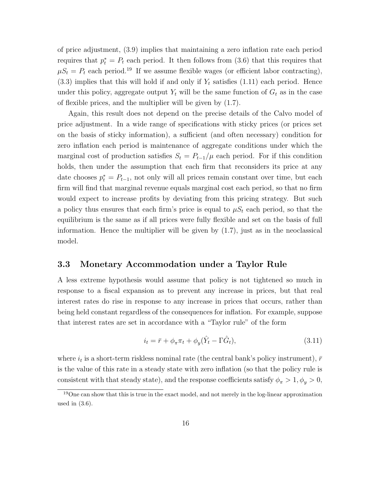of price adjustment, (3.9) implies that maintaining a zero inflation rate each period requires that  $p_t^* = P_t$  each period. It then follows from (3.6) that this requires that  $\mu S_t = P_t$  each period.<sup>19</sup> If we assume flexible wages (or efficient labor contracting),  $(3.3)$  implies that this will hold if and only if  $Y_t$  satisfies  $(1.11)$  each period. Hence under this policy, aggregate output  $Y_t$  will be the same function of  $G_t$  as in the case of flexible prices, and the multiplier will be given by (1.7).

Again, this result does not depend on the precise details of the Calvo model of price adjustment. In a wide range of specifications with sticky prices (or prices set on the basis of sticky information), a sufficient (and often necessary) condition for zero inflation each period is maintenance of aggregate conditions under which the marginal cost of production satisfies  $S_t = P_{t-1}/\mu$  each period. For if this condition holds, then under the assumption that each firm that reconsiders its price at any date chooses  $p_t^* = P_{t-1}$ , not only will all prices remain constant over time, but each firm will find that marginal revenue equals marginal cost each period, so that no firm would expect to increase profits by deviating from this pricing strategy. But such a policy thus ensures that each firm's price is equal to  $\mu S_t$  each period, so that the equilibrium is the same as if all prices were fully flexible and set on the basis of full information. Hence the multiplier will be given by (1.7), just as in the neoclassical model.

#### 3.3 Monetary Accommodation under a Taylor Rule

A less extreme hypothesis would assume that policy is not tightened so much in response to a fiscal expansion as to prevent any increase in prices, but that real interest rates do rise in response to any increase in prices that occurs, rather than being held constant regardless of the consequences for inflation. For example, suppose that interest rates are set in accordance with a "Taylor rule" of the form

$$
i_t = \bar{r} + \phi_\pi \pi_t + \phi_y (\hat{Y}_t - \Gamma \hat{G}_t), \tag{3.11}
$$

where  $i_t$  is a short-term riskless nominal rate (the central bank's policy instrument),  $\bar{r}$ is the value of this rate in a steady state with zero inflation (so that the policy rule is consistent with that steady state), and the response coefficients satisfy  $\phi_{\pi} > 1, \phi_y > 0$ ,

<sup>19</sup>One can show that this is true in the exact model, and not merely in the log-linear approximation used in (3.6).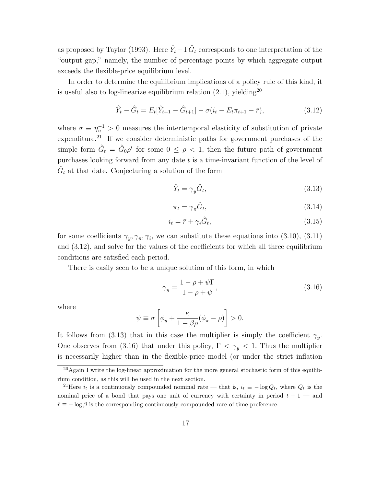as proposed by Taylor (1993). Here  $\hat{Y}_t - \Gamma \hat{G}_t$  corresponds to one interpretation of the "output gap," namely, the number of percentage points by which aggregate output exceeds the flexible-price equilibrium level.

In order to determine the equilibrium implications of a policy rule of this kind, it is useful also to log-linearize equilibrium relation  $(2.1)$ , yielding<sup>20</sup>

$$
\hat{Y}_t - \hat{G}_t = E_t[\hat{Y}_{t+1} - \hat{G}_{t+1}] - \sigma(i_t - E_t \pi_{t+1} - \bar{r}),
$$
\n(3.12)

where  $\sigma \equiv \eta_u^{-1} > 0$  measures the intertemporal elasticity of substitution of private expenditure.<sup>21</sup> If we consider deterministic paths for government purchases of the simple form  $\hat{G}_t = \hat{G}_0 \rho^t$  for some  $0 \leq \rho < 1$ , then the future path of government purchases looking forward from any date  $t$  is a time-invariant function of the level of  $\hat{G}_t$  at that date. Conjecturing a solution of the form

$$
\hat{Y}_t = \gamma_y \hat{G}_t,\tag{3.13}
$$

$$
\pi_t = \gamma_\pi \hat{G}_t,\tag{3.14}
$$

$$
i_t = \bar{r} + \gamma_i \hat{G}_t,\tag{3.15}
$$

for some coefficients  $\gamma_y, \gamma_\pi, \gamma_i$ , we can substitute these equations into (3.10), (3.11) and (3.12), and solve for the values of the coefficients for which all three equilibrium conditions are satisfied each period.

There is easily seen to be a unique solution of this form, in which

$$
\gamma_y = \frac{1 - \rho + \psi \Gamma}{1 - \rho + \psi},\tag{3.16}
$$

where

$$
\psi \equiv \sigma \left[ \phi_y + \frac{\kappa}{1 - \beta \rho} (\phi_\pi - \rho) \right] > 0.
$$

It follows from (3.13) that in this case the multiplier is simply the coefficient  $\gamma_y$ . One observes from (3.16) that under this policy,  $\Gamma < \gamma_y < 1$ . Thus the multiplier is necessarily higher than in the flexible-price model (or under the strict inflation

 $20$ Again I write the log-linear approximation for the more general stochastic form of this equilibrium condition, as this will be used in the next section.

<sup>&</sup>lt;sup>21</sup>Here  $i_t$  is a continuously compounded nominal rate — that is,  $i_t \equiv -\log Q_t$ , where  $Q_t$  is the nominal price of a bond that pays one unit of currency with certainty in period  $t + 1$  — and  $\bar{r} \equiv -\log \beta$  is the corresponding continuously compounded rare of time preference.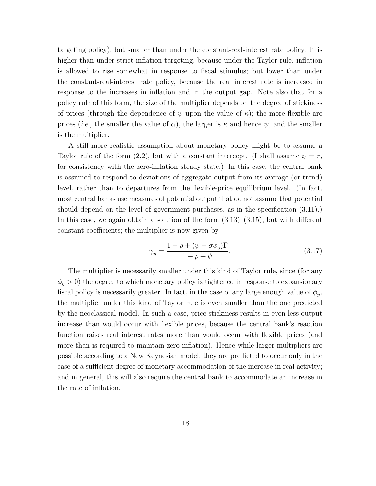targeting policy), but smaller than under the constant-real-interest rate policy. It is higher than under strict inflation targeting, because under the Taylor rule, inflation is allowed to rise somewhat in response to fiscal stimulus; but lower than under the constant-real-interest rate policy, because the real interest rate is increased in response to the increases in inflation and in the output gap. Note also that for a policy rule of this form, the size of the multiplier depends on the degree of stickiness of prices (through the dependence of  $\psi$  upon the value of  $\kappa$ ); the more flexible are prices (*i.e.*, the smaller the value of  $\alpha$ ), the larger is  $\kappa$  and hence  $\psi$ , and the smaller is the multiplier.

A still more realistic assumption about monetary policy might be to assume a Taylor rule of the form (2.2), but with a constant intercept. (I shall assume  $\bar{\iota}_t = \bar{r}$ , for consistency with the zero-inflation steady state.) In this case, the central bank is assumed to respond to deviations of aggregate output from its average (or trend) level, rather than to departures from the flexible-price equilibrium level. (In fact, most central banks use measures of potential output that do not assume that potential should depend on the level of government purchases, as in the specification (3.11).) In this case, we again obtain a solution of the form  $(3.13)$ – $(3.15)$ , but with different constant coefficients; the multiplier is now given by

$$
\gamma_y = \frac{1 - \rho + (\psi - \sigma \phi_y) \Gamma}{1 - \rho + \psi}.
$$
\n(3.17)

The multiplier is necessarily smaller under this kind of Taylor rule, since (for any  $\phi_y > 0$ ) the degree to which monetary policy is tightened in response to expansionary fiscal policy is necessarily greater. In fact, in the case of any large enough value of  $\phi_y$ , the multiplier under this kind of Taylor rule is even smaller than the one predicted by the neoclassical model. In such a case, price stickiness results in even less output increase than would occur with flexible prices, because the central bank's reaction function raises real interest rates more than would occur with flexible prices (and more than is required to maintain zero inflation). Hence while larger multipliers are possible according to a New Keynesian model, they are predicted to occur only in the case of a sufficient degree of monetary accommodation of the increase in real activity; and in general, this will also require the central bank to accommodate an increase in the rate of inflation.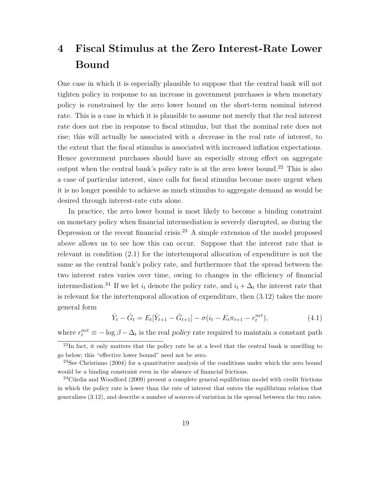# 4 Fiscal Stimulus at the Zero Interest-Rate Lower Bound

One case in which it is especially plausible to suppose that the central bank will not tighten policy in response to an increase in government purchases is when monetary policy is constrained by the zero lower bound on the short-term nominal interest rate. This is a case in which it is plausible to assume not merely that the real interest rate does not rise in response to fiscal stimulus, but that the nominal rate does not rise; this will actually be associated with a decrease in the real rate of interest, to the extent that the fiscal stimulus is associated with increased inflation expectations. Hence government purchases should have an especially strong effect on aggregate output when the central bank's policy rate is at the zero lower bound.<sup>22</sup> This is also a case of particular interest, since calls for fiscal stimulus become more urgent when it is no longer possible to achieve as much stimulus to aggregate demand as would be desired through interest-rate cuts alone.

In practice, the zero lower bound is most likely to become a binding constraint on monetary policy when financial intermediation is severely disrupted, as during the Depression or the recent financial crisis.<sup>23</sup> A simple extension of the model proposed above allows us to see how this can occur. Suppose that the interest rate that is relevant in condition (2.1) for the intertemporal allocation of expenditure is not the same as the central bank's policy rate, and furthermore that the spread between the two interest rates varies over time, owing to changes in the efficiency of financial intermediation.<sup>24</sup> If we let  $i_t$  denote the policy rate, and  $i_t + \Delta_t$  the interest rate that is relevant for the intertemporal allocation of expenditure, then (3.12) takes the more general form

$$
\hat{Y}_t - \hat{G}_t = E_t[\hat{Y}_{t+1} - \hat{G}_{t+1}] - \sigma(i_t - E_t \pi_{t+1} - r_t^{net}),
$$
\n(4.1)

where  $r_t^{net} \equiv -\log \beta - \Delta_t$  is the real policy rate required to maintain a constant path

 $^{22}$ In fact, it only matters that the policy rate be at a level that the central bank is unwilling to go below; this "effective lower bound" need not be zero.

<sup>&</sup>lt;sup>23</sup>See Christiano (2004) for a quantitative analysis of the conditions under which the zero bound would be a binding constraint even in the absence of financial frictions.

 $24C$ úrdia and Woodford (2009) present a complete general equilibrium model with credit frictions in which the policy rate is lower than the rate of interest that enters the equilibrium relation that generalizes (3.12), and describe a number of sources of variation in the spread between the two rates.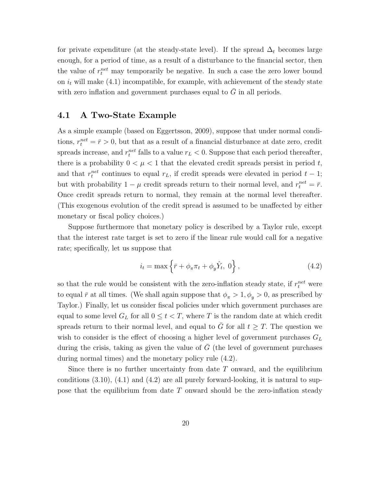for private expenditure (at the steady-state level). If the spread  $\Delta_t$  becomes large enough, for a period of time, as a result of a disturbance to the financial sector, then the value of  $r_t^{net}$  may temporarily be negative. In such a case the zero lower bound on  $i_t$  will make  $(4.1)$  incompatible, for example, with achievement of the steady state with zero inflation and government purchases equal to  $\bar{G}$  in all periods.

### 4.1 A Two-State Example

As a simple example (based on Eggertsson, 2009), suppose that under normal conditions,  $r_t^{net} = \bar{r} > 0$ , but that as a result of a financial disturbance at date zero, credit spreads increase, and  $r_t^{net}$  falls to a value  $r_L < 0$ . Suppose that each period thereafter, there is a probability  $0 < \mu < 1$  that the elevated credit spreads persist in period t, and that  $r_t^{net}$  continues to equal  $r_t$ , if credit spreads were elevated in period  $t-1$ ; but with probability  $1 - \mu$  credit spreads return to their normal level, and  $r_t^{net} = \bar{r}$ . Once credit spreads return to normal, they remain at the normal level thereafter. (This exogenous evolution of the credit spread is assumed to be unaffected by either monetary or fiscal policy choices.)

Suppose furthermore that monetary policy is described by a Taylor rule, except that the interest rate target is set to zero if the linear rule would call for a negative rate; specifically, let us suppose that

$$
i_t = \max\left\{\bar{r} + \phi_\pi \pi_t + \phi_y \hat{Y}_t, 0\right\},\qquad(4.2)
$$

so that the rule would be consistent with the zero-inflation steady state, if  $r_t^{net}$  were to equal  $\bar{r}$  at all times. (We shall again suppose that  $\phi_{\pi} > 1, \phi_{y} > 0$ , as prescribed by Taylor.) Finally, let us consider fiscal policies under which government purchases are equal to some level  $G_L$  for all  $0 \le t < T$ , where T is the random date at which credit spreads return to their normal level, and equal to  $\overline{G}$  for all  $t \geq T$ . The question we wish to consider is the effect of choosing a higher level of government purchases  $G_L$ during the crisis, taking as given the value of  $\bar{G}$  (the level of government purchases during normal times) and the monetary policy rule (4.2).

Since there is no further uncertainty from date  $T$  onward, and the equilibrium conditions  $(3.10)$ ,  $(4.1)$  and  $(4.2)$  are all purely forward-looking, it is natural to suppose that the equilibrium from date  $T$  onward should be the zero-inflation steady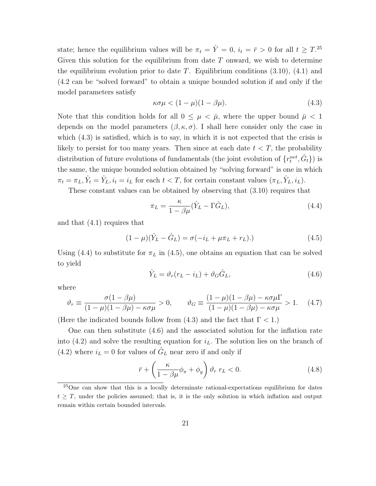state; hence the equilibrium values will be  $\pi_t = \hat{Y} = 0$ ,  $i_t = \bar{r} > 0$  for all  $t \geq T$ .<sup>25</sup> Given this solution for the equilibrium from date  $T$  onward, we wish to determine the equilibrium evolution prior to date T. Equilibrium conditions  $(3.10)$ ,  $(4.1)$  and (4.2 can be "solved forward" to obtain a unique bounded solution if and only if the model parameters satisfy

$$
\kappa \sigma \mu < (1 - \mu)(1 - \beta \mu). \tag{4.3}
$$

Note that this condition holds for all  $0 \leq \mu < \bar{\mu}$ , where the upper bound  $\bar{\mu} < 1$ depends on the model parameters  $(\beta, \kappa, \sigma)$ . I shall here consider only the case in which  $(4.3)$  is satisfied, which is to say, in which it is not expected that the crisis is likely to persist for too many years. Then since at each date  $t < T$ , the probability distribution of future evolutions of fundamentals (the joint evolution of  $\{r_t^{net}, \hat{G}_t\}$ ) is the same, the unique bounded solution obtained by "solving forward" is one in which  $\pi_t = \pi_L, \hat{Y}_t = \hat{Y}_L, i_t = i_L$  for each  $t < T$ , for certain constant values  $(\pi_L, \hat{Y}_L, i_L)$ .

These constant values can be obtained by observing that (3.10) requires that

$$
\pi_L = \frac{\kappa}{1 - \beta \mu} (\hat{Y}_L - \Gamma \hat{G}_L),\tag{4.4}
$$

and that (4.1) requires that

$$
(1 - \mu)(\hat{Y}_L - \hat{G}_L) = \sigma(-i_L + \mu \pi_L + r_L). \tag{4.5}
$$

Using (4.4) to substitute for  $\pi_L$  in (4.5), one obtains an equation that can be solved to yield

$$
\hat{Y}_L = \vartheta_r (r_L - i_L) + \vartheta_G \hat{G}_L, \tag{4.6}
$$

where

$$
\vartheta_r \equiv \frac{\sigma(1 - \beta \mu)}{(1 - \mu)(1 - \beta \mu) - \kappa \sigma \mu} > 0, \qquad \vartheta_G \equiv \frac{(1 - \mu)(1 - \beta \mu) - \kappa \sigma \mu \Gamma}{(1 - \mu)(1 - \beta \mu) - \kappa \sigma \mu} > 1. \tag{4.7}
$$

(Here the indicated bounds follow from (4.3) and the fact that  $\Gamma$  < 1.)

One can then substitute (4.6) and the associated solution for the inflation rate into (4.2) and solve the resulting equation for  $i<sub>L</sub>$ . The solution lies on the branch of (4.2) where  $i_L = 0$  for values of  $\hat{G}_L$  near zero if and only if

$$
\bar{r} + \left(\frac{\kappa}{1 - \beta\mu}\phi_{\pi} + \phi_y\right)\vartheta_r \ r_L < 0. \tag{4.8}
$$

<sup>&</sup>lt;sup>25</sup>One can show that this is a locally determinate rational-expectations equilibrium for dates  $t \geq T$ , under the policies assumed; that is, it is the only solution in which inflation and output remain within certain bounded intervals.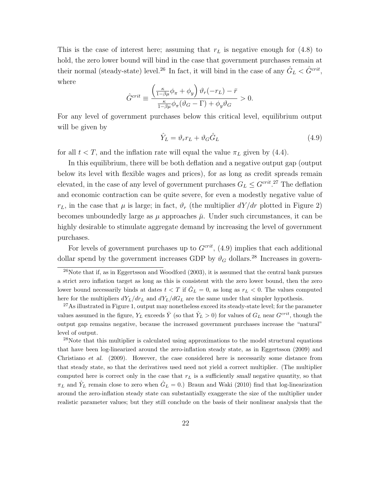This is the case of interest here; assuming that  $r<sub>L</sub>$  is negative enough for (4.8) to hold, the zero lower bound will bind in the case that government purchases remain at their normal (steady-state) level.<sup>26</sup> In fact, it will bind in the case of any  $\hat{G}_L < \hat{G}^{crit}$ , where  $\overline{a}$ ´

$$
\hat{G}^{crit} \equiv \frac{\left(\frac{\kappa}{1-\beta\mu}\phi_{\pi} + \phi_y\right)\vartheta_r(-r_L) - \bar{r}}{\frac{\kappa}{1-\beta\mu}\phi_{\pi}(\vartheta_G - \Gamma) + \phi_y\vartheta_G} > 0.
$$

For any level of government purchases below this critical level, equilibrium output will be given by

$$
\hat{Y}_L = \vartheta_r r_L + \vartheta_G \hat{G}_L \tag{4.9}
$$

for all  $t < T$ , and the inflation rate will equal the value  $\pi_L$  given by (4.4).

In this equilibrium, there will be both deflation and a negative output gap (output below its level with flexible wages and prices), for as long as credit spreads remain elevated, in the case of any level of government purchases  $G_L \leq G^{crit}$ .<sup>27</sup> The deflation and economic contraction can be quite severe, for even a modestly negative value of  $r<sub>L</sub>$ , in the case that  $\mu$  is large; in fact,  $\vartheta<sub>r</sub>$  (the multiplier  $dY/dr$  plotted in Figure 2) becomes unboundedly large as  $\mu$  approaches  $\bar{\mu}$ . Under such circumstances, it can be highly desirable to stimulate aggregate demand by increasing the level of government purchases.

For levels of government purchases up to  $G<sup>crit</sup>$ , (4.9) implies that each additional dollar spend by the government increases GDP by  $\vartheta_G$  dollars.<sup>28</sup> Increases in govern-

 $^{26}$ Note that if, as in Eggertsson and Woodford (2003), it is assumed that the central bank pursues a strict zero inflation target as long as this is consistent with the zero lower bound, then the zero lower bound necessarily binds at dates  $t < T$  if  $\hat{G}_L = 0$ , as long as  $r_L < 0$ . The values computed here for the multipliers  $dY_L/dr_L$  and  $dY_L/dG_L$  are the same under that simpler hypothesis.

<sup>&</sup>lt;sup>27</sup>As illustrated in Figure 1, output may nonetheless exceed its steady-state level; for the parameter values assumed in the figure,  $Y_L$  exceeds  $\overline{Y}$  (so that  $\hat{Y}_L > 0$ ) for values of  $G_L$  near  $G^{crit}$ , though the output gap remains negative, because the increased government purchases increase the "natural" level of output.

<sup>&</sup>lt;sup>28</sup>Note that this multiplier is calculated using approximations to the model structural equations that have been log-linearized around the zero-inflation steady state, as in Eggertsson (2009) and Christiano et al. (2009). However, the case considered here is necessarily some distance from that steady state, so that the derivatives used need not yield a correct multiplier. (The multiplier computed here is correct only in the case that  $r<sub>L</sub>$  is a sufficiently small negative quantity, so that  $\pi_L$  and  $\hat{Y}_L$  remain close to zero when  $\hat{G}_L = 0$ .) Braun and Waki (2010) find that log-linearization around the zero-inflation steady state can substantially exaggerate the size of the multiplier under realistic parameter values; but they still conclude on the basis of their nonlinear analysis that the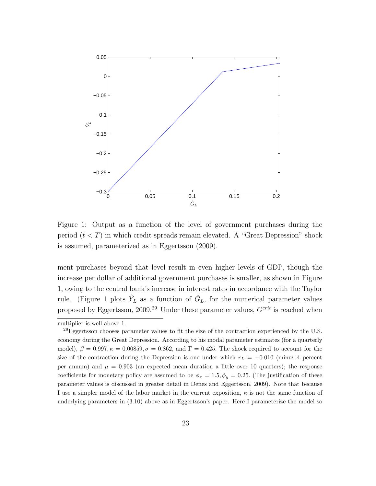

Figure 1: Output as a function of the level of government purchases during the period  $(t < T)$  in which credit spreads remain elevated. A "Great Depression" shock is assumed, parameterized as in Eggertsson (2009).

ment purchases beyond that level result in even higher levels of GDP, though the increase per dollar of additional government purchases is smaller, as shown in Figure 1, owing to the central bank's increase in interest rates in accordance with the Taylor rule. (Figure 1 plots  $\hat{Y}_L$  as a function of  $\hat{G}_L$ , for the numerical parameter values proposed by Eggertsson, 2009.<sup>29</sup> Under these parameter values,  $G^{crit}$  is reached when

multiplier is well above 1.

 $^{29}$ Eggertsson chooses parameter values to fit the size of the contraction experienced by the U.S. economy during the Great Depression. According to his modal parameter estimates (for a quarterly model),  $\beta = 0.997$ ,  $\kappa = 0.00859$ ,  $\sigma = 0.862$ , and  $\Gamma = 0.425$ . The shock required to account for the size of the contraction during the Depression is one under which  $r<sub>L</sub> = -0.010$  (minus 4 percent per annum) and  $\mu = 0.903$  (an expected mean duration a little over 10 quarters); the response coefficients for monetary policy are assumed to be  $\phi_{\pi} = 1.5, \phi_y = 0.25$ . (The justification of these parameter values is discussed in greater detail in Denes and Eggertsson, 2009). Note that because I use a simpler model of the labor market in the current exposition,  $\kappa$  is not the same function of underlying parameters in (3.10) above as in Eggertsson's paper. Here I parameterize the model so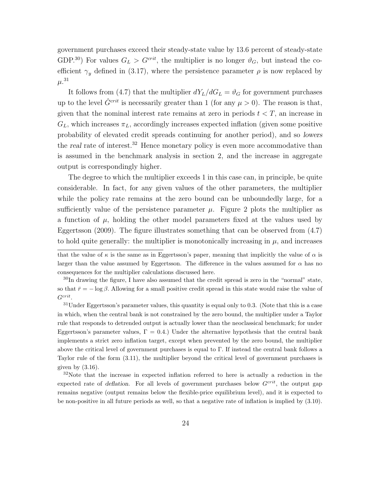government purchases exceed their steady-state value by 13.6 percent of steady-state GDP.<sup>30</sup>) For values  $G_L > G^{crit}$ , the multiplier is no longer  $\vartheta_G$ , but instead the coefficient  $\gamma_u$  defined in (3.17), where the persistence parameter  $\rho$  is now replaced by  $\mu^{31}$ 

It follows from (4.7) that the multiplier  $dY_L/dG_L = \vartheta_G$  for government purchases up to the level  $\hat{G}^{crit}$  is necessarily greater than 1 (for any  $\mu > 0$ ). The reason is that, given that the nominal interest rate remains at zero in periods  $t < T$ , an increase in  $G_L$ , which increases  $\pi_L$ , accordingly increases expected inflation (given some positive probability of elevated credit spreads continuing for another period), and so lowers the real rate of interest.<sup>32</sup> Hence monetary policy is even more accommodative than is assumed in the benchmark analysis in section 2, and the increase in aggregate output is correspondingly higher.

The degree to which the multiplier exceeds 1 in this case can, in principle, be quite considerable. In fact, for any given values of the other parameters, the multiplier while the policy rate remains at the zero bound can be unboundedly large, for a sufficiently value of the persistence parameter  $\mu$ . Figure 2 plots the multiplier as a function of  $\mu$ , holding the other model parameters fixed at the values used by Eggertsson (2009). The figure illustrates something that can be observed from (4.7) to hold quite generally: the multiplier is monotonically increasing in  $\mu$ , and increases

 $31$ Under Eggertsson's parameter values, this quantity is equal only to 0.3. (Note that this is a case in which, when the central bank is not constrained by the zero bound, the multiplier under a Taylor rule that responds to detrended output is actually lower than the neoclassical benchmark; for under Eggertsson's parameter values,  $\Gamma = 0.4$ .) Under the alternative hypothesis that the central bank implements a strict zero inflation target, except when prevented by the zero bound, the multiplier above the critical level of government purchases is equal to Γ. If instead the central bank follows a Taylor rule of the form (3.11), the multiplier beyond the critical level of government purchases is given by  $(3.16)$ .

 $32\text{Note that the increase in expected inflation referred to here is actually a reduction in the$ expected rate of deflation. For all levels of government purchases below  $G^{crit}$ , the output gap remains negative (output remains below the flexible-price equilibrium level), and it is expected to be non-positive in all future periods as well, so that a negative rate of inflation is implied by (3.10).

that the value of  $\kappa$  is the same as in Eggertsson's paper, meaning that implicitly the value of  $\alpha$  is larger than the value assumed by Eggertsson. The difference in the values assumed for  $\alpha$  has no consequences for the multiplier calculations discussed here.

<sup>&</sup>lt;sup>30</sup>In drawing the figure, I have also assumed that the credit spread is zero in the "normal" state, so that  $\bar{r} = -\log \beta$ . Allowing for a small positive credit spread in this state would raise the value of  $G^{crit}$ .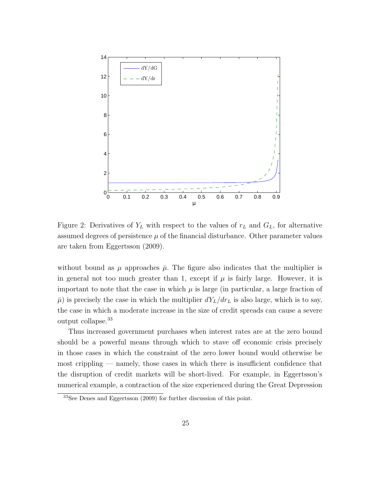

Figure 2: Derivatives of  $Y_L$  with respect to the values of  $r_L$  and  $G_L$ , for alternative assumed degrees of persistence  $\mu$  of the financial disturbance. Other parameter values are taken from Eggertsson (2009).

without bound as  $\mu$  approaches  $\bar{\mu}$ . The figure also indicates that the multiplier is in general not too much greater than 1, except if  $\mu$  is fairly large. However, it is important to note that the case in which  $\mu$  is large (in particular, a large fraction of  $\bar{\mu}$ ) is precisely the case in which the multiplier  $dY_L/dr_L$  is also large, which is to say, the case in which a moderate increase in the size of credit spreads can cause a severe output collapse.<sup>33</sup>

Thus increased government purchases when interest rates are at the zero bound should be a powerful means through which to stave off economic crisis precisely in those cases in which the constraint of the zero lower bound would otherwise be most crippling — namely, those cases in which there is insufficient confidence that the disruption of credit markets will be short-lived. For example, in Eggertsson's numerical example, a contraction of the size experienced during the Great Depression

 $33$ See Denes and Eggertsson (2009) for further discussion of this point.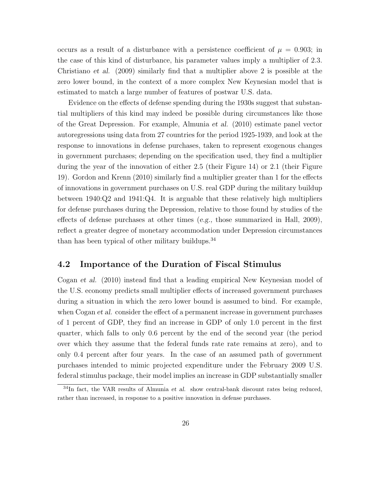occurs as a result of a disturbance with a persistence coefficient of  $\mu = 0.903$ ; in the case of this kind of disturbance, his parameter values imply a multiplier of 2.3. Christiano et al. (2009) similarly find that a multiplier above 2 is possible at the zero lower bound, in the context of a more complex New Keynesian model that is estimated to match a large number of features of postwar U.S. data.

Evidence on the effects of defense spending during the 1930s suggest that substantial multipliers of this kind may indeed be possible during circumstances like those of the Great Depression. For example, Almunia et al. (2010) estimate panel vector autoregressions using data from 27 countries for the period 1925-1939, and look at the response to innovations in defense purchases, taken to represent exogenous changes in government purchases; depending on the specification used, they find a multiplier during the year of the innovation of either 2.5 (their Figure 14) or 2.1 (their Figure 19). Gordon and Krenn (2010) similarly find a multiplier greater than 1 for the effects of innovations in government purchases on U.S. real GDP during the military buildup between 1940:Q2 and 1941:Q4. It is arguable that these relatively high multipliers for defense purchases during the Depression, relative to those found by studies of the effects of defense purchases at other times (e.g., those summarized in Hall, 2009), reflect a greater degree of monetary accommodation under Depression circumstances than has been typical of other military buildups.<sup>34</sup>

## 4.2 Importance of the Duration of Fiscal Stimulus

Cogan et al. (2010) instead find that a leading empirical New Keynesian model of the U.S. economy predicts small multiplier effects of increased government purchases during a situation in which the zero lower bound is assumed to bind. For example, when Cogan *et al.* consider the effect of a permanent increase in government purchases of 1 percent of GDP, they find an increase in GDP of only 1.0 percent in the first quarter, which falls to only 0.6 percent by the end of the second year (the period over which they assume that the federal funds rate rate remains at zero), and to only 0.4 percent after four years. In the case of an assumed path of government purchases intended to mimic projected expenditure under the February 2009 U.S. federal stimulus package, their model implies an increase in GDP substantially smaller

 $34$ In fact, the VAR results of Almunia et al. show central-bank discount rates being reduced, rather than increased, in response to a positive innovation in defense purchases.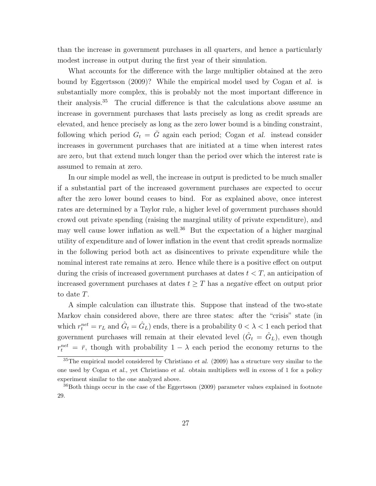than the increase in government purchases in all quarters, and hence a particularly modest increase in output during the first year of their simulation.

What accounts for the difference with the large multiplier obtained at the zero bound by Eggertsson (2009)? While the empirical model used by Cogan et al. is substantially more complex, this is probably not the most important difference in their analysis.<sup>35</sup> The crucial difference is that the calculations above assume an increase in government purchases that lasts precisely as long as credit spreads are elevated, and hence precisely as long as the zero lower bound is a binding constraint, following which period  $G_t = \overline{G}$  again each period; Cogan et al. instead consider increases in government purchases that are initiated at a time when interest rates are zero, but that extend much longer than the period over which the interest rate is assumed to remain at zero.

In our simple model as well, the increase in output is predicted to be much smaller if a substantial part of the increased government purchases are expected to occur after the zero lower bound ceases to bind. For as explained above, once interest rates are determined by a Taylor rule, a higher level of government purchases should crowd out private spending (raising the marginal utility of private expenditure), and may well cause lower inflation as well.<sup>36</sup> But the expectation of a higher marginal utility of expenditure and of lower inflation in the event that credit spreads normalize in the following period both act as disincentives to private expenditure while the nominal interest rate remains at zero. Hence while there is a positive effect on output during the crisis of increased government purchases at dates  $t < T$ , an anticipation of increased government purchases at dates  $t \geq T$  has a negative effect on output prior to date T.

A simple calculation can illustrate this. Suppose that instead of the two-state Markov chain considered above, there are three states: after the "crisis" state (in which  $r_t^{net} = r_L$  and  $\hat{G}_t = \hat{G}_L$  ends, there is a probability  $0 < \lambda < 1$  each period that government purchases will remain at their elevated level  $(\hat{G}_t = \hat{G}_L)$ , even though  $r_t^{net} = \bar{r}$ , though with probability  $1 - \lambda$  each period the economy returns to the

 $35$ The empirical model considered by Christiano et al. (2009) has a structure very similar to the one used by Cogan et al., yet Christiano et al. obtain multipliers well in excess of 1 for a policy experiment similar to the one analyzed above.

<sup>&</sup>lt;sup>36</sup>Both things occur in the case of the Eggertsson (2009) parameter values explained in footnote 29.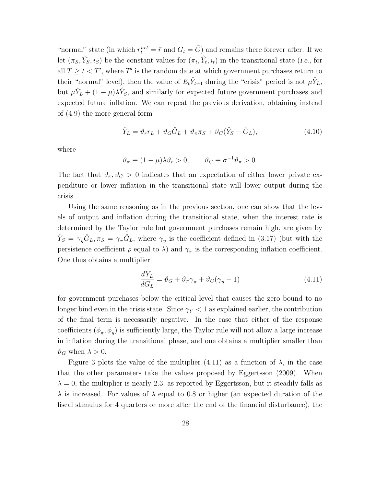"normal" state (in which  $r_t^{net} = \bar{r}$  and  $G_t = \bar{G}$ ) and remains there forever after. If we let  $(\pi_S, \hat{Y}_S, i_S)$  be the constant values for  $(\pi_t, \hat{Y}_t, i_t)$  in the transitional state (*i.e.*, for all  $T \geq t < T'$ , where T' is the random date at which government purchases return to their "normal" level), then the value of  $E_t \hat{Y}_{t+1}$  during the "crisis" period is not  $\mu \hat{Y}_L$ , but  $\mu \hat{Y}_L + (1 - \mu)\lambda \hat{Y}_S$ , and similarly for expected future government purchases and expected future inflation. We can repeat the previous derivation, obtaining instead of (4.9) the more general form

$$
\hat{Y}_L = \vartheta_r r_L + \vartheta_G \hat{G}_L + \vartheta_\pi \pi_S + \vartheta_C (\hat{Y}_S - \hat{G}_L), \tag{4.10}
$$

where

$$
\vartheta_{\pi} \equiv (1 - \mu)\lambda \vartheta_r > 0, \qquad \vartheta_C \equiv \sigma^{-1} \vartheta_{\pi} > 0.
$$

The fact that  $\vartheta_{\pi}, \vartheta_{C} > 0$  indicates that an expectation of either lower private expenditure or lower inflation in the transitional state will lower output during the crisis.

Using the same reasoning as in the previous section, one can show that the levels of output and inflation during the transitional state, when the interest rate is determined by the Taylor rule but government purchases remain high, are given by  $\hat{Y}_S = \gamma_y \hat{G}_L, \pi_S = \gamma_\pi \hat{G}_L$ , where  $\gamma_y$  is the coefficient defined in (3.17) (but with the persistence coefficient  $\rho$  equal to  $\lambda$ ) and  $\gamma_{\pi}$  is the corresponding inflation coefficient. One thus obtains a multiplier

$$
\frac{dY_L}{dG_L} = \vartheta_G + \vartheta_\pi \gamma_\pi + \vartheta_C (\gamma_y - 1)
$$
\n(4.11)

for government purchases below the critical level that causes the zero bound to no longer bind even in the crisis state. Since  $\gamma_Y < 1$  as explained earlier, the contribution of the final term is necessarily negative. In the case that either of the response coefficients  $(\phi_{\pi}, \phi_y)$  is sufficiently large, the Taylor rule will not allow a large increase in inflation during the transitional phase, and one obtains a multiplier smaller than  $\vartheta_G$  when  $\lambda > 0$ .

Figure 3 plots the value of the multiplier (4.11) as a function of  $\lambda$ , in the case that the other parameters take the values proposed by Eggertsson (2009). When  $\lambda = 0$ , the multiplier is nearly 2.3, as reported by Eggertsson, but it steadily falls as  $\lambda$  is increased. For values of  $\lambda$  equal to 0.8 or higher (an expected duration of the fiscal stimulus for 4 quarters or more after the end of the financial disturbance), the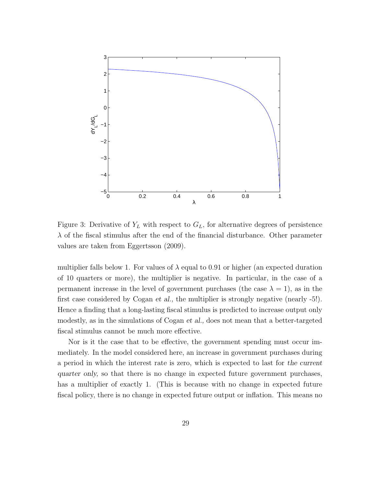

Figure 3: Derivative of  $Y_L$  with respect to  $G_L$ , for alternative degrees of persistence  $\lambda$  of the fiscal stimulus after the end of the financial disturbance. Other parameter values are taken from Eggertsson (2009).

multiplier falls below 1. For values of  $\lambda$  equal to 0.91 or higher (an expected duration of 10 quarters or more), the multiplier is negative. In particular, in the case of a permanent increase in the level of government purchases (the case  $\lambda = 1$ ), as in the first case considered by Cogan et al., the multiplier is strongly negative (nearly -5!). Hence a finding that a long-lasting fiscal stimulus is predicted to increase output only modestly, as in the simulations of Cogan et al., does not mean that a better-targeted fiscal stimulus cannot be much more effective.

Nor is it the case that to be effective, the government spending must occur immediately. In the model considered here, an increase in government purchases during a period in which the interest rate is zero, which is expected to last for the current quarter only, so that there is no change in expected future government purchases, has a multiplier of exactly 1. (This is because with no change in expected future fiscal policy, there is no change in expected future output or inflation. This means no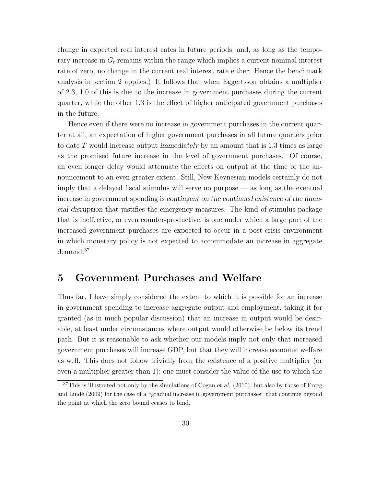change in expected real interest rates in future periods, and, as long as the temporary increase in  $G_t$  remains within the range which implies a current nominal interest rate of zero, no change in the current real interest rate either. Hence the benchmark analysis in section 2 applies.) It follows that when Eggertsson obtains a multiplier of 2.3, 1.0 of this is due to the increase in government purchases during the current quarter, while the other 1.3 is the effect of higher anticipated government purchases in the future.

Hence even if there were no increase in government purchases in the current quarter at all, an expectation of higher government purchases in all future quarters prior to date T would increase output immediately by an amount that is  $1.3$  times as large as the promised future increase in the level of government purchases. Of course, an even longer delay would attenuate the effects on output at the time of the announcement to an even greater extent. Still, New Keynesian models certainly do not imply that a delayed fiscal stimulus will serve no purpose — as long as the eventual increase in government spending is contingent on the continued existence of the financial disruption that justifies the emergency measures. The kind of stimulus package that is ineffective, or even counter-productive, is one under which a large part of the increased government purchases are expected to occur in a post-crisis environment in which monetary policy is not expected to accommodate an increase in aggregate demand.<sup>37</sup>

# 5 Government Purchases and Welfare

Thus far, I have simply considered the extent to which it is possible for an increase in government spending to increase aggregate output and employment, taking it for granted (as in much popular discussion) that an increase in output would be desirable, at least under circumstances where output would otherwise be below its trend path. But it is reasonable to ask whether our models imply not only that increased government purchases will increase GDP, but that they will increase economic welfare as well. This does not follow trivially from the existence of a positive multiplier (or even a multiplier greater than 1); one must consider the value of the use to which the

 $37$ This is illustrated not only by the simulations of Cogan et al. (2010), but also by those of Erceg and Lind´e (2009) for the case of a "gradual increase in government purchases" that continue beyond the point at which the zero bound ceases to bind.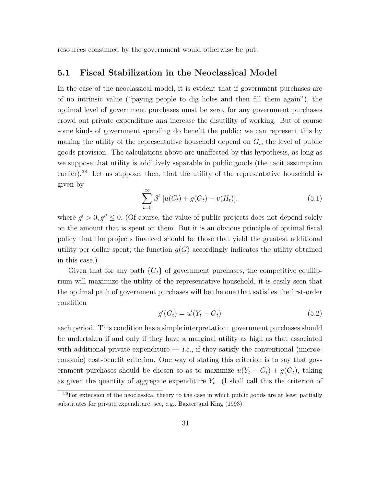resources consumed by the government would otherwise be put.

#### 5.1 Fiscal Stabilization in the Neoclassical Model

In the case of the neoclassical model, it is evident that if government purchases are of no intrinsic value ("paying people to dig holes and then fill them again"), the optimal level of government purchases must be zero, for any government purchases crowd out private expenditure and increase the disutility of working. But of course some kinds of government spending do benefit the public; we can represent this by making the utility of the representative household depend on  $G_t$ , the level of public goods provision. The calculations above are unaffected by this hypothesis, as long as we suppose that utility is additively separable in public goods (the tacit assumption earlier).<sup>38</sup> Let us suppose, then, that the utility of the representative household is given by

$$
\sum_{t=0}^{\infty} \beta^t \left[ u(C_t) + g(G_t) - v(H_t) \right],\tag{5.1}
$$

where  $g' > 0$ ,  $g'' \leq 0$ . (Of course, the value of public projects does not depend solely on the amount that is spent on them. But it is an obvious principle of optimal fiscal policy that the projects financed should be those that yield the greatest additional utility per dollar spent; the function  $g(G)$  accordingly indicates the utility obtained in this case.)

Given that for any path  ${G_t}$  of government purchases, the competitive equilibrium will maximize the utility of the representative household, it is easily seen that the optimal path of government purchases will be the one that satisfies the first-order condition

$$
g'(G_t) = u'(Y_t - G_t) \tag{5.2}
$$

each period. This condition has a simple interpretation: government purchases should be undertaken if and only if they have a marginal utility as high as that associated with additional private expenditure  $-$  *i.e.*, if they satisfy the conventional (microeconomic) cost-benefit criterion. One way of stating this criterion is to say that government purchases should be chosen so as to maximize  $u(Y_t - G_t) + g(G_t)$ , taking as given the quantity of aggregate expenditure  $Y_t$ . (I shall call this the criterion of

<sup>&</sup>lt;sup>38</sup>For extension of the neoclassical theory to the case in which public goods are at least partially substitutes for private expenditure, see, e.g., Baxter and King (1993).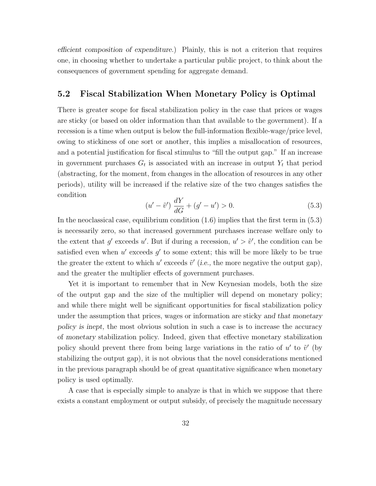efficient composition of expenditure.) Plainly, this is not a criterion that requires one, in choosing whether to undertake a particular public project, to think about the consequences of government spending for aggregate demand.

## 5.2 Fiscal Stabilization When Monetary Policy is Optimal

There is greater scope for fiscal stabilization policy in the case that prices or wages are sticky (or based on older information than that available to the government). If a recession is a time when output is below the full-information flexible-wage/price level, owing to stickiness of one sort or another, this implies a misallocation of resources, and a potential justification for fiscal stimulus to "fill the output gap." If an increase in government purchases  $G_t$  is associated with an increase in output  $Y_t$  that period (abstracting, for the moment, from changes in the allocation of resources in any other periods), utility will be increased if the relative size of the two changes satisfies the condition

$$
(u' - \tilde{v}')\frac{dY}{dG} + (g' - u') > 0.
$$
\n(5.3)

In the neoclassical case, equilibrium condition (1.6) implies that the first term in (5.3) is necessarily zero, so that increased government purchases increase welfare only to the extent that g' exceeds u'. But if during a recession,  $u' > \tilde{v}'$ , the condition can be satisfied even when  $u'$  exceeds  $g'$  to some extent; this will be more likely to be true the greater the extent to which u' exceeds  $\tilde{v}'$  (i.e., the more negative the output gap), and the greater the multiplier effects of government purchases.

Yet it is important to remember that in New Keynesian models, both the size of the output gap and the size of the multiplier will depend on monetary policy; and while there might well be significant opportunities for fiscal stabilization policy under the assumption that prices, wages or information are sticky and that monetary policy is inept, the most obvious solution in such a case is to increase the accuracy of monetary stabilization policy. Indeed, given that effective monetary stabilization policy should prevent there from being large variations in the ratio of  $u'$  to  $\tilde{v}'$  (by stabilizing the output gap), it is not obvious that the novel considerations mentioned in the previous paragraph should be of great quantitative significance when monetary policy is used optimally.

A case that is especially simple to analyze is that in which we suppose that there exists a constant employment or output subsidy, of precisely the magnitude necessary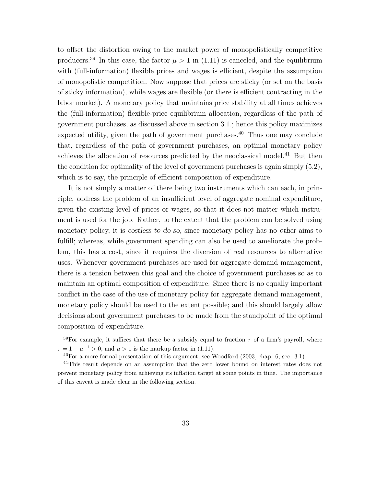to offset the distortion owing to the market power of monopolistically competitive producers.<sup>39</sup> In this case, the factor  $\mu > 1$  in (1.11) is canceled, and the equilibrium with (full-information) flexible prices and wages is efficient, despite the assumption of monopolistic competition. Now suppose that prices are sticky (or set on the basis of sticky information), while wages are flexible (or there is efficient contracting in the labor market). A monetary policy that maintains price stability at all times achieves the (full-information) flexible-price equilibrium allocation, regardless of the path of government purchases, as discussed above in section 3.1.; hence this policy maximizes expected utility, given the path of government purchases.<sup>40</sup> Thus one may conclude that, regardless of the path of government purchases, an optimal monetary policy achieves the allocation of resources predicted by the neoclassical model.<sup>41</sup> But then the condition for optimality of the level of government purchases is again simply (5.2), which is to say, the principle of efficient composition of expenditure.

It is not simply a matter of there being two instruments which can each, in principle, address the problem of an insufficient level of aggregate nominal expenditure, given the existing level of prices or wages, so that it does not matter which instrument is used for the job. Rather, to the extent that the problem can be solved using monetary policy, it is costless to do so, since monetary policy has no other aims to fulfill; whereas, while government spending can also be used to ameliorate the problem, this has a cost, since it requires the diversion of real resources to alternative uses. Whenever government purchases are used for aggregate demand management, there is a tension between this goal and the choice of government purchases so as to maintain an optimal composition of expenditure. Since there is no equally important conflict in the case of the use of monetary policy for aggregate demand management, monetary policy should be used to the extent possible; and this should largely allow decisions about government purchases to be made from the standpoint of the optimal composition of expenditure.

<sup>&</sup>lt;sup>39</sup>For example, it suffices that there be a subsidy equal to fraction  $\tau$  of a firm's payroll, where  $\tau = 1 - \mu^{-1} > 0$ , and  $\mu > 1$  is the markup factor in (1.11).

 $^{40}$  For a more formal presentation of this argument, see Woodford (2003, chap. 6, sec. 3.1).

<sup>41</sup>This result depends on an assumption that the zero lower bound on interest rates does not prevent monetary policy from achieving its inflation target at some points in time. The importance of this caveat is made clear in the following section.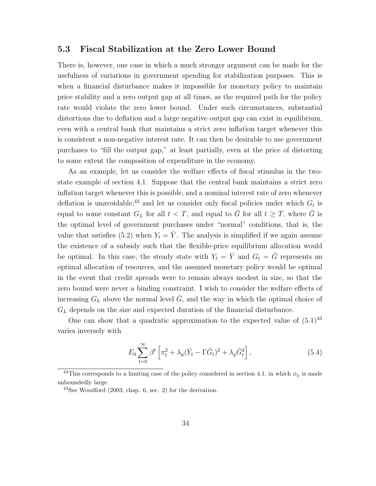#### 5.3 Fiscal Stabilization at the Zero Lower Bound

There is, however, one case in which a much stronger argument can be made for the usefulness of variations in government spending for stabilization purposes. This is when a financial disturbance makes it impossible for monetary policy to maintain price stability and a zero output gap at all times, as the required path for the policy rate would violate the zero lower bound. Under such circumstances, substantial distortions due to deflation and a large negative output gap can exist in equilibrium, even with a central bank that maintains a strict zero inflation target whenever this is consistent a non-negative interest rate. It can then be desirable to use government purchases to "fill the output gap," at least partially, even at the price of distorting to some extent the composition of expenditure in the economy.

As an example, let us consider the welfare effects of fiscal stimulus in the twostate example of section 4.1. Suppose that the central bank maintains a strict zero inflation target whenever this is possible, and a nominal interest rate of zero whenever deflation is unavoidable;<sup>42</sup> and let us consider only fiscal policies under which  $G_t$  is equal to some constant  $G_L$  for all  $t < T$ , and equal to  $\overline{G}$  for all  $t \geq T$ , where  $\overline{G}$  is the optimal level of government purchases under "normal" conditions, that is, the value that satisfies (5.2) when  $Y_t = Y$ . The analysis is simplified if we again assume the existence of a subsidy such that the flexible-price equilibrium allocation would be optimal. In this case, the steady state with  $Y_t = \overline{Y}$  and  $G_t = \overline{G}$  represents an optimal allocation of resources, and the assumed monetary policy would be optimal in the event that credit spreads were to remain always modest in size, so that the zero bound were never a binding constraint. I wish to consider the welfare effects of increasing  $G_L$  above the normal level  $\overline{G}$ , and the way in which the optimal choice of  $G_L$  depends on the size and expected duration of the financial disturbance.

One can show that a quadratic approximation to the expected value of  $(5.1)^{43}$ varies inversely with

$$
E_0 \sum_{t=0}^{\infty} \beta^t \left[ \pi_t^2 + \lambda_y (\hat{Y}_t - \Gamma \hat{G}_t)^2 + \lambda_g \hat{G}_t^2 \right], \qquad (5.4)
$$

<sup>&</sup>lt;sup>42</sup>This corresponds to a limiting case of the policy considered in section 4.1, in which  $\phi_{\pi}$  is made unboundedly large.

<sup>43</sup>See Woodford (2003, chap. 6, sec. 2) for the derivation.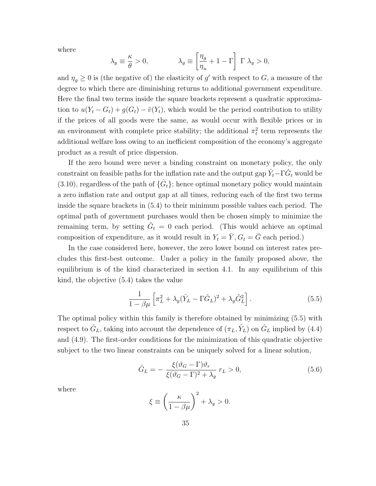where

$$
\lambda_y \equiv \frac{\kappa}{\theta} > 0, \qquad \lambda_g \equiv \left[ \frac{\eta_g}{\eta_u} + 1 - \Gamma \right] \Gamma \lambda_y > 0,
$$

and  $\eta_g \geq 0$  is (the negative of) the elasticity of g' with respect to G, a measure of the degree to which there are diminishing returns to additional government expenditure. Here the final two terms inside the square brackets represent a quadratic approximation to  $u(Y_t - G_t) + g(G_t) - \tilde{v}(Y_t)$ , which would be the period contribution to utility if the prices of all goods were the same, as would occur with flexible prices or in an environment with complete price stability; the additional  $\pi_t^2$  term represents the additional welfare loss owing to an inefficient composition of the economy's aggregate product as a result of price dispersion.

If the zero bound were never a binding constraint on monetary policy, the only constraint on feasible paths for the inflation rate and the output gap  $\hat{Y}_t-\Gamma \hat{G}_t$  would be (3.10), regardless of the path of  $\{\hat{G}_t\}$ ; hence optimal monetary policy would maintain a zero inflation rate and output gap at all times, reducing each of the first two terms inside the square brackets in (5.4) to their minimum possible values each period. The optimal path of government purchases would then be chosen simply to minimize the remaining term, by setting  $\hat{G}_t = 0$  each period. (This would achieve an optimal composition of expenditure, as it would result in  $Y_t = \overline{Y}, G_t = \overline{G}$  each period.)

In the case considered here, however, the zero lower bound on interest rates precludes this first-best outcome. Under a policy in the family proposed above, the equilibrium is of the kind characterized in section 4.1. In any equilibrium of this kind, the objective (5.4) takes the value

$$
\frac{1}{1-\beta\mu} \left[ \pi_L^2 + \lambda_y (\hat{Y}_L - \Gamma \hat{G}_L)^2 + \lambda_g \hat{G}_L^2 \right]. \tag{5.5}
$$

The optimal policy within this family is therefore obtained by minimizing (5.5) with respect to  $\hat{G}_L$ , taking into account the dependence of  $(\pi_L, \hat{Y}_L)$  on  $\hat{G}_L$  implied by (4.4) and (4.9). The first-order conditions for the minimization of this quadratic objective subject to the two linear constraints can be uniquely solved for a linear solution,

$$
\hat{G}_L = -\frac{\xi(\vartheta_G - \Gamma)\vartheta_r}{\xi(\vartheta_G - \Gamma)^2 + \lambda_g} r_L > 0,
$$
\n(5.6)

where

$$
\xi \equiv \left(\frac{\kappa}{1-\beta\mu}\right)^2 + \lambda_y > 0.
$$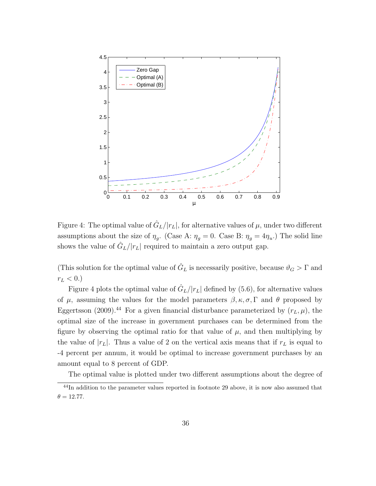

Figure 4: The optimal value of  $\hat{G}_L/|r_L|$ , for alternative values of  $\mu$ , under two different assumptions about the size of  $\eta_g$ . (Case A:  $\eta_g = 0$ . Case B:  $\eta_g = 4\eta_u$ .) The solid line shows the value of  $\hat{G}_L/|r_L|$  required to maintain a zero output gap.

(This solution for the optimal value of  $\hat{G}_L$  is necessarily positive, because  $\vartheta_G > \Gamma$  and  $r_L < 0.$ 

Figure 4 plots the optimal value of  $\hat{G}_L/|r_L|$  defined by (5.6), for alternative values of  $\mu$ , assuming the values for the model parameters  $\beta$ ,  $\kappa$ ,  $\sigma$ ,  $\Gamma$  and  $\theta$  proposed by Eggertsson (2009).<sup>44</sup> For a given financial disturbance parameterized by  $(r_L, \mu)$ , the optimal size of the increase in government purchases can be determined from the figure by observing the optimal ratio for that value of  $\mu$ , and then multiplying by the value of  $|r_L|$ . Thus a value of 2 on the vertical axis means that if  $r_L$  is equal to -4 percent per annum, it would be optimal to increase government purchases by an amount equal to 8 percent of GDP.

The optimal value is plotted under two different assumptions about the degree of

<sup>&</sup>lt;sup>44</sup>In addition to the parameter values reported in footnote 29 above, it is now also assumed that  $\theta = 12.77.$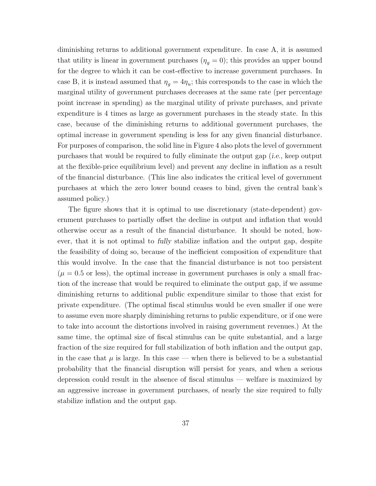diminishing returns to additional government expenditure. In case A, it is assumed that utility is linear in government purchases  $(\eta_q = 0)$ ; this provides an upper bound for the degree to which it can be cost-effective to increase government purchases. In case B, it is instead assumed that  $\eta_g = 4\eta_u$ ; this corresponds to the case in which the marginal utility of government purchases decreases at the same rate (per percentage point increase in spending) as the marginal utility of private purchases, and private expenditure is 4 times as large as government purchases in the steady state. In this case, because of the diminishing returns to additional government purchases, the optimal increase in government spending is less for any given financial disturbance. For purposes of comparison, the solid line in Figure 4 also plots the level of government purchases that would be required to fully eliminate the output gap (i.e., keep output at the flexible-price equilibrium level) and prevent any decline in inflation as a result of the financial disturbance. (This line also indicates the critical level of government purchases at which the zero lower bound ceases to bind, given the central bank's assumed policy.)

The figure shows that it is optimal to use discretionary (state-dependent) government purchases to partially offset the decline in output and inflation that would otherwise occur as a result of the financial disturbance. It should be noted, however, that it is not optimal to fully stabilize inflation and the output gap, despite the feasibility of doing so, because of the inefficient composition of expenditure that this would involve. In the case that the financial disturbance is not too persistent  $(\mu = 0.5 \text{ or less})$ , the optimal increase in government purchases is only a small fraction of the increase that would be required to eliminate the output gap, if we assume diminishing returns to additional public expenditure similar to those that exist for private expenditure. (The optimal fiscal stimulus would be even smaller if one were to assume even more sharply diminishing returns to public expenditure, or if one were to take into account the distortions involved in raising government revenues.) At the same time, the optimal size of fiscal stimulus can be quite substantial, and a large fraction of the size required for full stabilization of both inflation and the output gap, in the case that  $\mu$  is large. In this case — when there is believed to be a substantial probability that the financial disruption will persist for years, and when a serious depression could result in the absence of fiscal stimulus — welfare is maximized by an aggressive increase in government purchases, of nearly the size required to fully stabilize inflation and the output gap.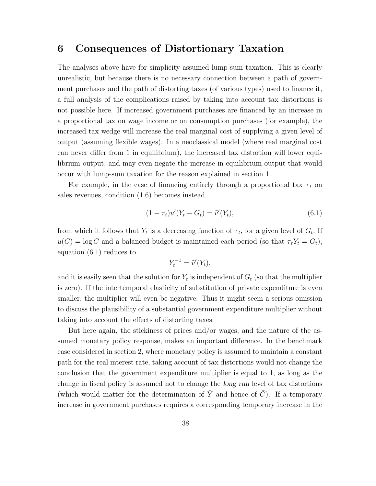## 6 Consequences of Distortionary Taxation

The analyses above have for simplicity assumed lump-sum taxation. This is clearly unrealistic, but because there is no necessary connection between a path of government purchases and the path of distorting taxes (of various types) used to finance it, a full analysis of the complications raised by taking into account tax distortions is not possible here. If increased government purchases are financed by an increase in a proportional tax on wage income or on consumption purchases (for example), the increased tax wedge will increase the real marginal cost of supplying a given level of output (assuming flexible wages). In a neoclassical model (where real marginal cost can never differ from 1 in equilibrium), the increased tax distortion will lower equilibrium output, and may even negate the increase in equilibrium output that would occur with lump-sum taxation for the reason explained in section 1.

For example, in the case of financing entirely through a proportional tax  $\tau_t$  on sales revenues, condition (1.6) becomes instead

$$
(1 - \tau_t)u'(Y_t - G_t) = \tilde{v}'(Y_t),
$$
\n(6.1)

from which it follows that  $Y_t$  is a decreasing function of  $\tau_t$ , for a given level of  $G_t$ . If  $u(C) = \log C$  and a balanced budget is maintained each period (so that  $\tau_t Y_t = G_t$ ), equation (6.1) reduces to

$$
Y_t^{-1} = \tilde{v}'(Y_t),
$$

and it is easily seen that the solution for  $Y_t$  is independent of  $G_t$  (so that the multiplier is zero). If the intertemporal elasticity of substitution of private expenditure is even smaller, the multiplier will even be negative. Thus it might seem a serious omission to discuss the plausibility of a substantial government expenditure multiplier without taking into account the effects of distorting taxes.

But here again, the stickiness of prices and/or wages, and the nature of the assumed monetary policy response, makes an important difference. In the benchmark case considered in section 2, where monetary policy is assumed to maintain a constant path for the real interest rate, taking account of tax distortions would not change the conclusion that the government expenditure multiplier is equal to 1, as long as the change in fiscal policy is assumed not to change the long run level of tax distortions (which would matter for the determination of  $\overline{Y}$  and hence of  $\overline{C}$ ). If a temporary increase in government purchases requires a corresponding temporary increase in the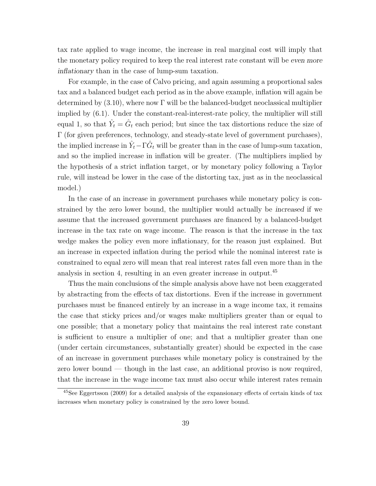tax rate applied to wage income, the increase in real marginal cost will imply that the monetary policy required to keep the real interest rate constant will be even more inflationary than in the case of lump-sum taxation.

For example, in the case of Calvo pricing, and again assuming a proportional sales tax and a balanced budget each period as in the above example, inflation will again be determined by  $(3.10)$ , where now  $\Gamma$  will be the balanced-budget neoclassical multiplier implied by (6.1). Under the constant-real-interest-rate policy, the multiplier will still equal 1, so that  $\hat{Y}_t = \hat{G}_t$  each period; but since the tax distortions reduce the size of Γ (for given preferences, technology, and steady-state level of government purchases), the implied increase in  $\hat{Y}_t-\Gamma\hat{G}_t$  will be greater than in the case of lump-sum taxation, and so the implied increase in inflation will be greater. (The multipliers implied by the hypothesis of a strict inflation target, or by monetary policy following a Taylor rule, will instead be lower in the case of the distorting tax, just as in the neoclassical model.)

In the case of an increase in government purchases while monetary policy is constrained by the zero lower bound, the multiplier would actually be increased if we assume that the increased government purchases are financed by a balanced-budget increase in the tax rate on wage income. The reason is that the increase in the tax wedge makes the policy even more inflationary, for the reason just explained. But an increase in expected inflation during the period while the nominal interest rate is constrained to equal zero will mean that real interest rates fall even more than in the analysis in section 4, resulting in an even greater increase in output.<sup>45</sup>

Thus the main conclusions of the simple analysis above have not been exaggerated by abstracting from the effects of tax distortions. Even if the increase in government purchases must be financed entirely by an increase in a wage income tax, it remains the case that sticky prices and/or wages make multipliers greater than or equal to one possible; that a monetary policy that maintains the real interest rate constant is sufficient to ensure a multiplier of one; and that a multiplier greater than one (under certain circumstances, substantially greater) should be expected in the case of an increase in government purchases while monetary policy is constrained by the zero lower bound — though in the last case, an additional proviso is now required, that the increase in the wage income tax must also occur while interest rates remain

<sup>45</sup>See Eggertsson (2009) for a detailed analysis of the expansionary effects of certain kinds of tax increases when monetary policy is constrained by the zero lower bound.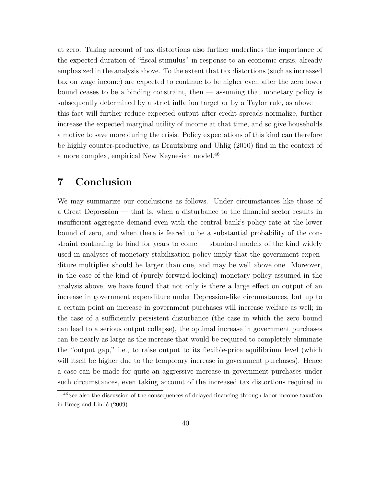at zero. Taking account of tax distortions also further underlines the importance of the expected duration of "fiscal stimulus" in response to an economic crisis, already emphasized in the analysis above. To the extent that tax distortions (such as increased tax on wage income) are expected to continue to be higher even after the zero lower bound ceases to be a binding constraint, then — assuming that monetary policy is subsequently determined by a strict inflation target or by a Taylor rule, as above this fact will further reduce expected output after credit spreads normalize, further increase the expected marginal utility of income at that time, and so give households a motive to save more during the crisis. Policy expectations of this kind can therefore be highly counter-productive, as Drautzburg and Uhlig (2010) find in the context of a more complex, empirical New Keynesian model.<sup>46</sup>

## 7 Conclusion

We may summarize our conclusions as follows. Under circumstances like those of a Great Depression — that is, when a disturbance to the financial sector results in insufficient aggregate demand even with the central bank's policy rate at the lower bound of zero, and when there is feared to be a substantial probability of the constraint continuing to bind for years to come — standard models of the kind widely used in analyses of monetary stabilization policy imply that the government expenditure multiplier should be larger than one, and may be well above one. Moreover, in the case of the kind of (purely forward-looking) monetary policy assumed in the analysis above, we have found that not only is there a large effect on output of an increase in government expenditure under Depression-like circumstances, but up to a certain point an increase in government purchases will increase welfare as well; in the case of a sufficiently persistent disturbance (the case in which the zero bound can lead to a serious output collapse), the optimal increase in government purchases can be nearly as large as the increase that would be required to completely eliminate the "output gap," i.e., to raise output to its flexible-price equilibrium level (which will itself be higher due to the temporary increase in government purchases). Hence a case can be made for quite an aggressive increase in government purchases under such circumstances, even taking account of the increased tax distortions required in

<sup>46</sup>See also the discussion of the consequences of delayed financing through labor income taxation in Erceg and Lindé (2009).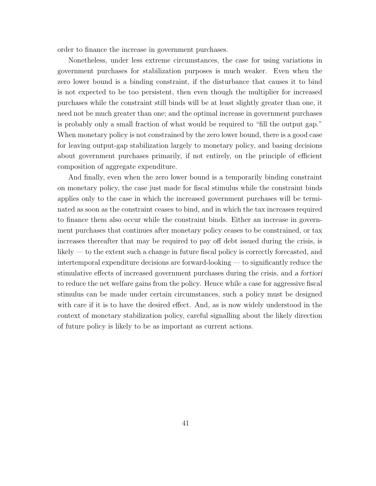order to finance the increase in government purchases.

Nonetheless, under less extreme circumstances, the case for using variations in government purchases for stabilization purposes is much weaker. Even when the zero lower bound is a binding constraint, if the disturbance that causes it to bind is not expected to be too persistent, then even though the multiplier for increased purchases while the constraint still binds will be at least slightly greater than one, it need not be much greater than one; and the optimal increase in government purchases is probably only a small fraction of what would be required to "fill the output gap." When monetary policy is not constrained by the zero lower bound, there is a good case for leaving output-gap stabilization largely to monetary policy, and basing decisions about government purchases primarily, if not entirely, on the principle of efficient composition of aggregate expenditure.

And finally, even when the zero lower bound is a temporarily binding constraint on monetary policy, the case just made for fiscal stimulus while the constraint binds applies only to the case in which the increased government purchases will be terminated as soon as the constraint ceases to bind, and in which the tax increases required to finance them also occur while the constraint binds. Either an increase in government purchases that continues after monetary policy ceases to be constrained, or tax increases thereafter that may be required to pay off debt issued during the crisis, is likely — to the extent such a change in future fiscal policy is correctly forecasted, and intertemporal expenditure decisions are forward-looking — to significantly reduce the stimulative effects of increased government purchases during the crisis, and a fortiori to reduce the net welfare gains from the policy. Hence while a case for aggressive fiscal stimulus can be made under certain circumstances, such a policy must be designed with care if it is to have the desired effect. And, as is now widely understood in the context of monetary stabilization policy, careful signalling about the likely direction of future policy is likely to be as important as current actions.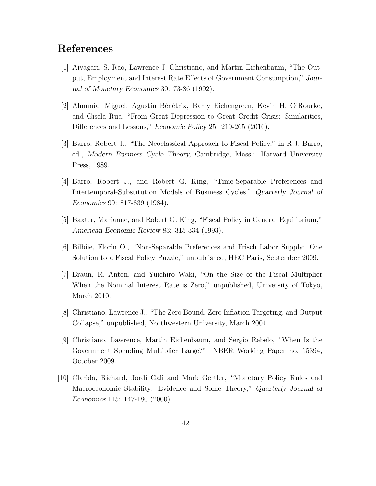# References

- [1] Aiyagari, S. Rao, Lawrence J. Christiano, and Martin Eichenbaum, "The Output, Employment and Interest Rate Effects of Government Consumption," Journal of Monetary Economics 30: 73-86 (1992).
- [2] Almunia, Miguel, Agustín Bénétrix, Barry Eichengreen, Kevin H. O'Rourke, and Gisela Rua, "From Great Depression to Great Credit Crisis: Similarities, Differences and Lessons," Economic Policy 25: 219-265 (2010).
- [3] Barro, Robert J., "The Neoclassical Approach to Fiscal Policy," in R.J. Barro, ed., Modern Business Cycle Theory, Cambridge, Mass.: Harvard University Press, 1989.
- [4] Barro, Robert J., and Robert G. King, "Time-Separable Preferences and Intertemporal-Substitution Models of Business Cycles," Quarterly Journal of Economics 99: 817-839 (1984).
- [5] Baxter, Marianne, and Robert G. King, "Fiscal Policy in General Equilibrium," American Economic Review 83: 315-334 (1993).
- [6] Bilbiie, Florin O., "Non-Separable Preferences and Frisch Labor Supply: One Solution to a Fiscal Policy Puzzle," unpublished, HEC Paris, September 2009.
- [7] Braun, R. Anton, and Yuichiro Waki, "On the Size of the Fiscal Multiplier When the Nominal Interest Rate is Zero," unpublished, University of Tokyo, March 2010.
- [8] Christiano, Lawrence J., "The Zero Bound, Zero Inflation Targeting, and Output Collapse," unpublished, Northwestern University, March 2004.
- [9] Christiano, Lawrence, Martin Eichenbaum, and Sergio Rebelo, "When Is the Government Spending Multiplier Large?" NBER Working Paper no. 15394, October 2009.
- [10] Clarida, Richard, Jordi Gali and Mark Gertler, "Monetary Policy Rules and Macroeconomic Stability: Evidence and Some Theory," Quarterly Journal of Economics 115: 147-180 (2000).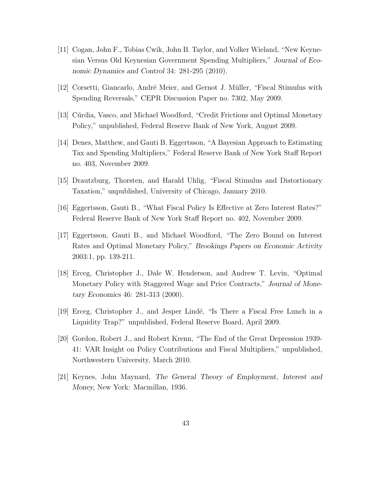- [11] Cogan, John F., Tobias Cwik, John B. Taylor, and Volker Wieland, "New Keynesian Versus Old Keynesian Government Spending Multipliers," Journal of Economic Dynamics and Control 34: 281-295 (2010).
- [12] Corsetti, Giancarlo, André Meier, and Gernot J. Müller, "Fiscal Stimulus with Spending Reversals," CEPR Discussion Paper no. 7302, May 2009.
- [13] Cúrdia, Vasco, and Michael Woodford, "Credit Frictions and Optimal Monetary Policy," unpublished, Federal Reserve Bank of New York, August 2009.
- [14] Denes, Matthew, and Gauti B. Eggertsson, "A Bayesian Approach to Estimating Tax and Spending Multipliers," Federal Reserve Bank of New York Staff Report no. 403, November 2009.
- [15] Drautzburg, Thorsten, and Harald Uhlig, "Fiscal Stimulus and Distortionary Taxation," unpublished, University of Chicago, January 2010.
- [16] Eggertsson, Gauti B., "What Fiscal Policy Is Effective at Zero Interest Rates?" Federal Reserve Bank of New York Staff Report no. 402, November 2009.
- [17] Eggertsson, Gauti B., and Michael Woodford, "The Zero Bound on Interest Rates and Optimal Monetary Policy," Brookings Papers on Economic Activity 2003:1, pp. 139-211.
- [18] Erceg, Christopher J., Dale W. Henderson, and Andrew T. Levin, "Optimal Monetary Policy with Staggered Wage and Price Contracts," Journal of Monetary Economics 46: 281-313 (2000).
- [19] Erceg, Christopher J., and Jesper Lind´e, "Is There a Fiscal Free Lunch in a Liquidity Trap?" unpublished, Federal Reserve Board, April 2009.
- [20] Gordon, Robert J., and Robert Krenn, "The End of the Great Depression 1939- 41: VAR Insight on Policy Contributions and Fiscal Multipliers," unpublished, Northwestern University, March 2010.
- [21] Keynes, John Maynard, The General Theory of Employment, Interest and Money, New York: Macmillan, 1936.